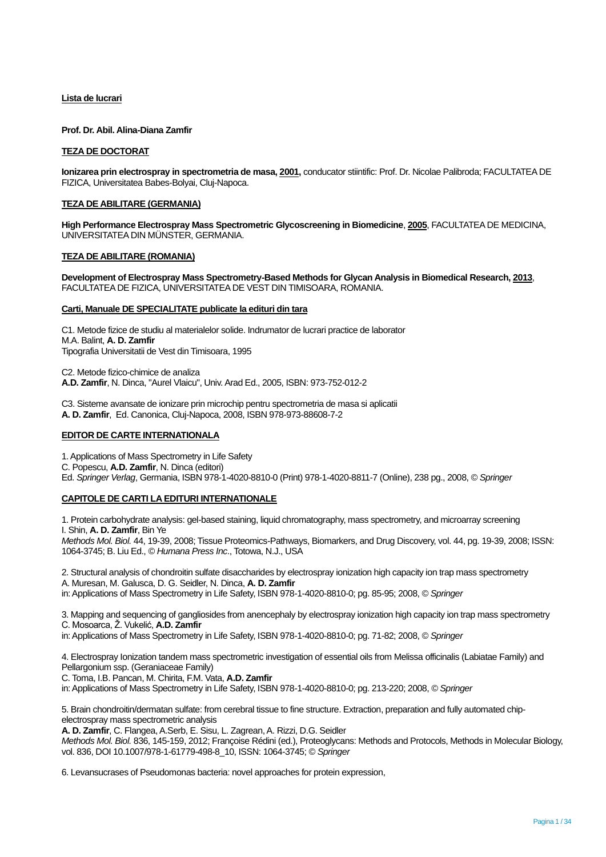# **Lista de lucrari**

**Prof. Dr. Abil. Alina-Diana Zamfir**

## **TEZA DE DOCTORAT**

**Ionizarea prin electrospray in spectrometria de masa, 2001,** conducator stiintific: Prof. Dr. Nicolae Palibroda; FACULTATEA DE FIZICA, Universitatea Babes-Bolyai, Cluj-Napoca.

# **TEZA DE ABILITARE (GERMANIA)**

**High Performance Electrospray Mass Spectrometric Glycoscreening in Biomedicine**, **2005**, FACULTATEA DE MEDICINA, UNIVERSITATEA DIN MÜNSTER, GERMANIA.

### **TEZA DE ABILITARE (ROMANIA)**

**Development of Electrospray Mass Spectrometry-Based Methods for Glycan Analysis in Biomedical Research, 2013**, FACULTATEA DE FIZICA, UNIVERSITATEA DE VEST DIN TIMISOARA, ROMANIA.

# **Carti, Manuale DE SPECIALITATE publicate la edituri din tara**

C1. Metode fizice de studiu al materialelor solide. Indrumator de lucrari practice de laborator M.A. Balint, **A. D. Zamfir** Tipografia Universitatii de Vest din Timisoara, 1995

C2. Metode fizico-chimice de analiza **A.D. Zamfir**, N. Dinca, "Aurel Vlaicu", Univ. Arad Ed., 2005, ISBN: 973-752-012-2

C3. Sisteme avansate de ionizare prin microchip pentru spectrometria de masa si aplicatii **A. D. Zamfir**, Ed. Canonica, Cluj-Napoca, 2008, ISBN 978-973-88608-7-2

# **EDITOR DE CARTE INTERNATIONALA**

1. Applications of Mass Spectrometry in Life Safety C. Popescu, **A.D. Zamfir**, N. Dinca (editori) Ed. *Springer Verlag*, Germania, ISBN 978-1-4020-8810-0 (Print) 978-1-4020-8811-7 (Online), 238 pg., 2008, © *Springer*

# **CAPITOLE DE CARTI LA EDITURI INTERNATIONALE**

1. Protein carbohydrate analysis: gel-based staining, liquid chromatography, mass spectrometry, and microarray screening I. Shin, **A. D. Zamfir**, Bin Ye *Methods Mol. Biol.* 44, 19-39, 2008; Tissue Proteomics-Pathways, Biomarkers, and Drug Discovery, vol. 44, pg. 19-39, 2008; ISSN: 1064-3745; B. Liu Ed., © *Humana Press Inc*., Totowa, N.J., USA

2. Structural analysis of chondroitin sulfate disaccharides by electrospray ionization high capacity ion trap mass spectrometry

A. Muresan, M. Galusca, D. G. Seidler, N. Dinca, **A. D. Zamfir**

in: Applications of Mass Spectrometry in Life Safety, ISBN 978-1-4020-8810-0; pg. 85-95; 2008, © *Springer*

3. Mapping and sequencing of gangliosides from anencephaly by electrospray ionization high capacity ion trap mass spectrometry C. Mosoarca, Ž. Vukelić, **A.D. Zamfir**

in: Applications of Mass Spectrometry in Life Safety, ISBN 978-1-4020-8810-0; pg. 71-82; 2008, © *Springer*

4. Electrospray Ionization tandem mass spectrometric investigation of essential oils from Melissa officinalis (Labiatae Family) and Pellargonium ssp. (Geraniaceae Family)

C. Toma, I.B. Pancan, M. Chirita, F.M. Vata, **A.D. Zamfir**

in: Applications of Mass Spectrometry in Life Safety, ISBN 978-1-4020-8810-0; pg. 213-220; 2008, © *Springer*

5. Brain chondroitin/dermatan sulfate: from cerebral tissue to fine structure. Extraction, preparation and fully automated chipelectrospray mass spectrometric analysis

**A. D. Zamfir**, C. Flangea, A.Serb, E. Sisu, L. Zagrean, A. Rizzi, D.G. Seidler

*Methods Mol. Biol.* 836, 145-159, 2012; Françoise Rédini (ed.), Proteoglycans: Methods and Protocols, Methods in Molecular Biology, vol. 836, DOI 10.1007/978-1-61779-498-8\_10, ISSN: 1064-3745; © *Springer*

6. Levansucrases of Pseudomonas bacteria: novel approaches for protein expression,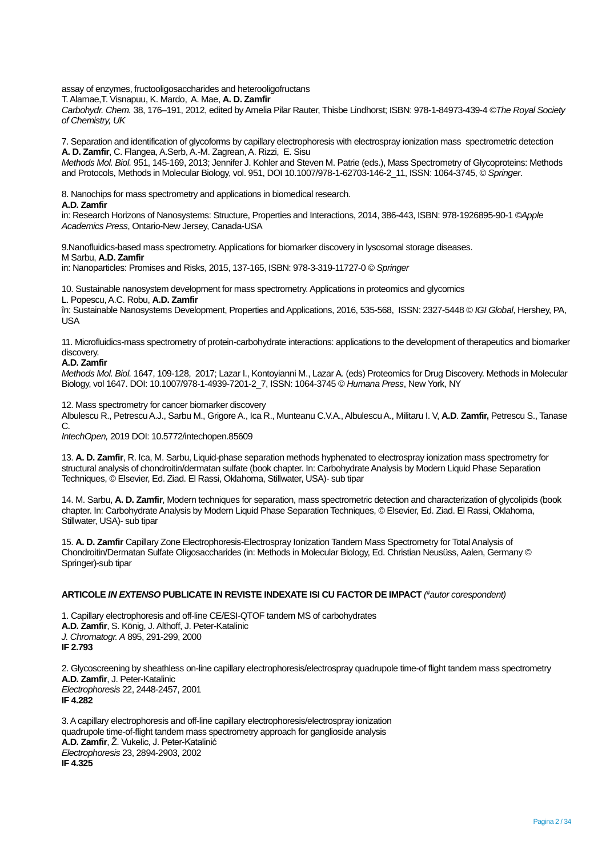assay of enzymes, fructooligosaccharides and heterooligofructans

T. Alamae,T. Visnapuu, K. Mardo, A. Mae, **A. D. Zamfir**

*Carbohydr. Chem.* 38, 176–191, 2012, edited by Amelia Pilar Rauter, Thisbe Lindhorst; ISBN: 978-1-84973-439-4 ©*The Royal Society of Chemistry, UK* 

7. Separation and identification of glycoforms by capillary electrophoresis with electrospray ionization mass spectrometric detection **A. D. Zamfir**, C. Flangea, A.Serb, A.-M. Zagrean, A. Rizzi, E. Sisu

*Methods Mol. Biol.* 951, 145-169, 2013; Jennifer J. Kohler and Steven M. Patrie (eds.), Mass Spectrometry of Glycoproteins: Methods and Protocols, Methods in Molecular Biology, vol. 951, DOI 10.1007/978-1-62703-146-2\_11, ISSN: 1064-3745, © *Springer*.

8. Nanochips for mass spectrometry and applications in biomedical research.

#### **A.D. Zamfir**

in: Research Horizons of Nanosystems: Structure, Properties and Interactions, 2014, 386-443, ISBN: 978-1926895-90-1 ©*Apple Academics Press*, Ontario-New Jersey, Canada-USA

9.Nanofluidics-based mass spectrometry. Applications for biomarker discovery in lysosomal storage diseases. M Sarbu, **A.D. Zamfir**

in: Nanoparticles: Promises and Risks, 2015, 137-165, ISBN: 978-3-319-11727-0 © *Springer*

10. Sustainable nanosystem development for mass spectrometry. Applications in proteomics and glycomics

L. Popescu, A.C. Robu, **A.D. Zamfir**

în: Sustainable Nanosystems Development, Properties and Applications, 2016, 535-568, ISSN: 2327-5448 © *IGI Global*, Hershey, PA, USA

11. Microfluidics-mass spectrometry of protein-carbohydrate interactions: applications to the development of therapeutics and biomarker discovery.

### **A.D. Zamfir**

*Methods Mol. Biol.* 1647, 109-128, 2017; Lazar I., Kontoyianni M., Lazar A*.* (eds) Proteomics for Drug Discovery. Methods in Molecular Biology, vol 1647. DOI: 10.1007/978-1-4939-7201-2\_7, ISSN: 1064-3745 © *Humana Press*, New York, NY

12. Mass spectrometry for cancer biomarker discovery

Albulescu R., Petrescu A.J., Sarbu M., Grigore A., Ica R., Munteanu C.V.A., Albulescu A., Militaru I. V, **A.D**. **Zamfir,** Petrescu S., Tanase C.

*IntechOpen,* 2019 DOI: 10.5772/intechopen.85609

13. **A. D. Zamfir**, R. Ica, M. Sarbu, Liquid-phase separation methods hyphenated to electrospray ionization mass spectrometry for structural analysis of chondroitin/dermatan sulfate (book chapter. In: Carbohydrate Analysis by Modern Liquid Phase Separation Techniques, © Elsevier, Ed. Ziad. El Rassi, Oklahoma, Stillwater, USA)- sub tipar

14. M. Sarbu, **A. D. Zamfir**, Modern techniques for separation, mass spectrometric detection and characterization of glycolipids (book chapter. In: Carbohydrate Analysis by Modern Liquid Phase Separation Techniques, © Elsevier, Ed. Ziad. El Rassi, Oklahoma, Stillwater, USA)- sub tipar

15. **A. D. Zamfir** Capillary Zone Electrophoresis-Electrospray Ionization Tandem Mass Spectrometry for Total Analysis of Chondroitin/Dermatan Sulfate Oligosaccharides (in: Methods in Molecular Biology, Ed. Christian Neusüss, Aalen, Germany © Springer)-sub tipar

### **ARTICOLE** *IN EXTENSO* **PUBLICATE IN REVISTE INDEXATE ISI CU FACTOR DE IMPACT** *( #autor corespondent)*

1. Capillary electrophoresis and off-line CE/ESI-QTOF tandem MS of carbohydrates **A.D. Zamfir**, S. König, J. Althoff, J. Peter-Katalinic *J. Chromatogr. A* 895, 291-299, 2000 **IF 2.793**

2. Glycoscreening by sheathless on-line capillary electrophoresis/electrospray quadrupole time-of flight tandem mass spectrometry **A.D. Zamfir**, J. Peter-Katalinic *Electrophoresis* 22, 2448-2457, 2001 **IF 4.282**

3. A capillary electrophoresis and off-line capillary electrophoresis/electrospray ionization quadrupole time-of-flight tandem mass spectrometry approach for ganglioside analysis **A.D. Zamfir**, Ž. Vukelic, J. Peter-Katalinić *Electrophoresis* 23, 2894-2903, 2002 **IF 4.325**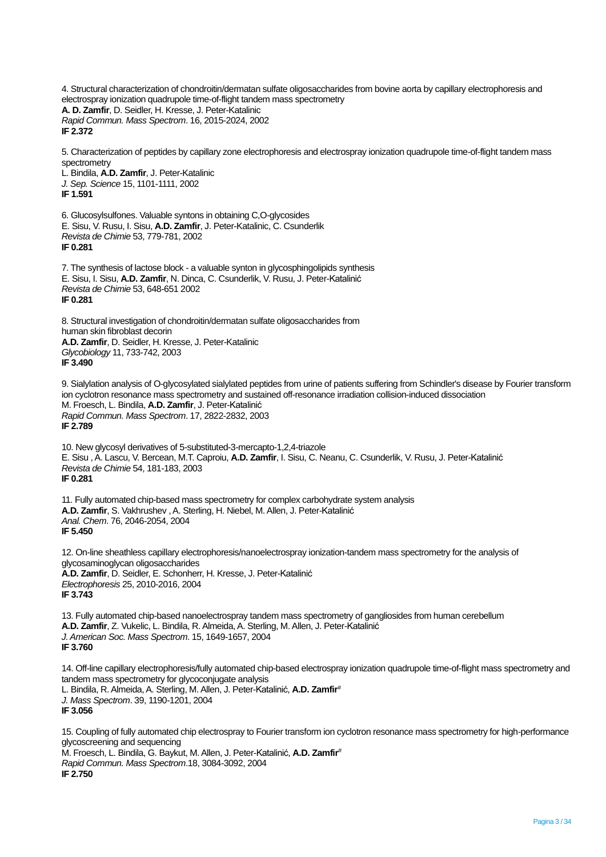4. Structural characterization of chondroitin/dermatan sulfate oligosaccharides from bovine aorta by capillary electrophoresis and electrospray ionization quadrupole time-of-flight tandem mass spectrometry **A. D. Zamfir**, D. Seidler, H. Kresse, J. Peter-Katalinic *Rapid Commun. Mass Spectrom*. 16, 2015-2024, 2002 **IF 2.372**

5. Characterization of peptides by capillary zone electrophoresis and electrospray ionization quadrupole time-of-flight tandem mass spectrometry

L. Bindila, **A.D. Zamfir**, J. Peter-Katalinic *J. Sep. Science* 15, 1101-1111, 2002 **IF 1.591**

6. Glucosylsulfones. Valuable syntons in obtaining C,O-glycosides E. Sisu, V. Rusu, I. Sisu, **A.D. Zamfir**, J. Peter-Katalinic, C. Csunderlik *Revista de Chimie* 53, 779-781, 2002 **IF 0.281**

7. The synthesis of lactose block - a valuable synton in glycosphingolipids synthesis E. Sisu, I. Sisu, **A.D. Zamfir**, N. Dinca, C. Csunderlik, V. Rusu, J. Peter-Katalinić *Revista de Chimie* 53, 648-651 2002 **IF 0.281**

8. Structural investigation of chondroitin/dermatan sulfate oligosaccharides from human skin fibroblast decorin **A.D. Zamfir**, D. Seidler, H. Kresse, J. Peter-Katalinic *Glycobiology* 11, 733-742, 2003 **IF 3.490**

9. Sialylation analysis of O-glycosylated sialylated peptides from urine of patients suffering from Schindler's disease by Fourier transform ion cyclotron resonance mass spectrometry and sustained off-resonance irradiation collision-induced dissociation M. Froesch, L. Bindila, **A.D. Zamfir**, J. Peter-Katalinić *Rapid Commun. Mass Spectrom*. 17, 2822-2832, 2003 **IF 2.789**

10. New glycosyl derivatives of 5-substituted-3-mercapto-1,2,4-triazole E. Sisu , A. Lascu, V. Bercean, M.T. Caproiu, **A.D. Zamfir**, I. Sisu, C. Neanu, C. Csunderlik, V. Rusu, J. Peter-Katalinić *Revista de Chimie* 54, 181-183, 2003 **IF 0.281**

11. Fully automated chip-based mass spectrometry for complex carbohydrate system analysis **A.D. Zamfir**, S. Vakhrushev , A. Sterling, H. Niebel, M. Allen, J. Peter-Katalinić *Anal. Chem*. 76, 2046-2054, 2004 **IF 5.450**

12. On-line sheathless capillary electrophoresis/nanoelectrospray ionization-tandem mass spectrometry for the analysis of glycosaminoglycan oligosaccharides **A.D. Zamfir**, D. Seidler, E. Schonherr, H. Kresse, J. Peter-Katalinić *Electrophoresis* 25, 2010-2016, 2004 **IF 3.743**

13. Fully automated chip-based nanoelectrospray tandem mass spectrometry of gangliosides from human cerebellum **A.D. Zamfir**, Z. Vukelic, L. Bindila, R. Almeida, A. Sterling, M. Allen, J. Peter-Katalinić *J. American Soc. Mass Spectrom*. 15, 1649-1657, 2004 **IF 3.760**

14. Off-line capillary electrophoresis/fully automated chip-based electrospray ionization quadrupole time-of-flight mass spectrometry and tandem mass spectrometry for glycoconjugate analysis L. Bindila, R. Almeida,A. Sterling, M. Allen, J. Peter-Katalinić, **A.D. Zamfir***# J. Mass Spectrom*. 39, 1190-1201, 2004 **IF 3.056**

15. Coupling of fully automated chip electrospray to Fourier transform ion cyclotron resonance mass spectrometry for high-performance glycoscreening and sequencing M. Froesch, L. Bindila, G. Baykut, M. Allen, J. Peter-Katalinić, **A.D. Zamfir***# Rapid Commun. Mass Spectrom*.18, 3084-3092, 2004 **IF 2.750**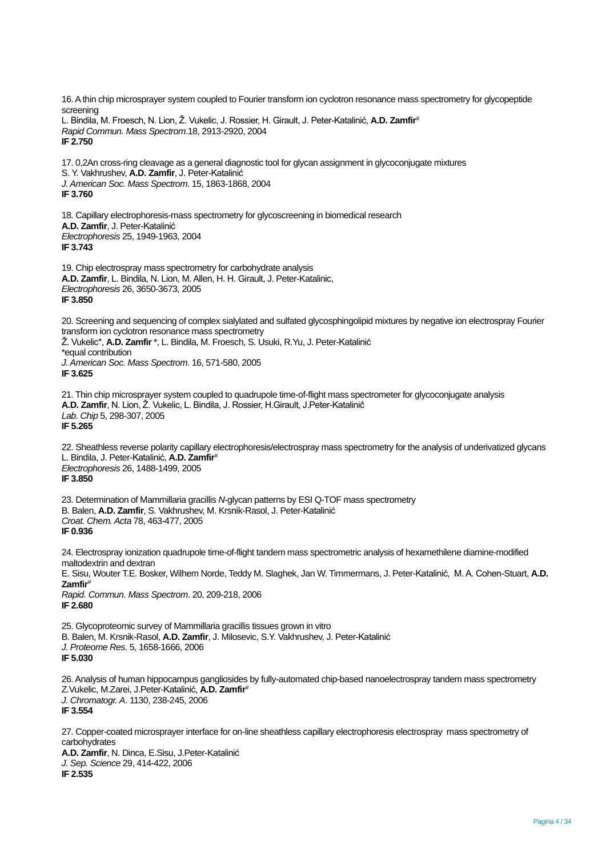16. A thin chip microsprayer system coupled to Fourier transform ion cyclotron resonance mass spectrometry for glycopeptide screening L. Bindila, M. Froesch, N. Lion, Ž. Vukelic, J. Rossier, H. Girault, J. Peter-Katalinić, **A.D. Zamfir***# Rapid Commun. Mass Spectrom*.18, 2913-2920, 2004 **IF 2.750** 17. 0,2An cross-ring cleavage as a general diagnostic tool for glycan assignment in glycoconjugate mixtures S. Y. Vakhrushev, **A.D. Zamfir**, J. Peter-Katalinić *J. American Soc. Mass Spectrom*. 15, 1863-1868, 2004 **IF 3.760** 18. Capillary electrophoresis-mass spectrometry for glycoscreening in biomedical research **A.D. Zamfir**, J. Peter-Katalinić *Electrophoresis* 25, 1949-1963, 2004 **IF 3.743** 19. Chip electrospray mass spectrometry for carbohydrate analysis **A.D. Zamfir**, L. Bindila, N. Lion, M. Allen, H. H. Girault, J. Peter-Katalinic, *Electrophoresis* 26, 3650-3673, 2005 **IF 3.850** 20. Screening and sequencing of complex sialylated and sulfated glycosphingolipid mixtures by negative ion electrospray Fourier transform ion cyclotron resonance mass spectrometry Ž. Vukelic\*, **A.D. Zamfir** \*, L. Bindila, M. Froesch, S. Usuki, R.Yu, J. Peter-Katalinić \*equal contribution *J. American Soc. Mass Spectrom*. 16, 571-580, 2005 **IF 3.625** 21. Thin chip microsprayer system coupled to quadrupole time-of-flight mass spectrometer for glycoconjugate analysis **A.D. Zamfir**, N. Lion, Ž. Vukelic, L. Bindila, J. Rossier, H.Girault, J.Peter-Kataliniĉ *Lab. Chip* 5, 298-307, 2005 **IF 5.265** 22. Sheathless reverse polarity capillary electrophoresis/electrospray mass spectrometry for the analysis of underivatized glycans L. Bindila, J. Peter-Katalinić, **A.D. Zamfir***# Electrophoresis* 26, 1488-1499, 2005 **IF 3.850** 23. Determination of Mammillaria gracillis *N*-glycan patterns by ESI Q-TOF mass spectrometry B. Balen, **A.D. Zamfir**, S. Vakhrushev, M. Krsnik-Rasol, J. Peter-Katalinić *Croat. Chem. Acta* 78, 463-477, 2005 **IF 0.936** 24. Electrospray ionization quadrupole time-of-flight tandem mass spectrometric analysis of hexamethilene diamine-modified maltodextrin and dextran E. Sisu, Wouter T.E. Bosker, Wilhem Norde, Teddy M. Slaghek, Jan W. Timmermans, J. Peter-Katalinić, M. A. Cohen-Stuart, **A.D. Zamfir***# Rapid. Commun. Mass Spectrom*. 20, 209-218, 2006 **IF 2.680** 25. Glycoproteomic survey of Mammillaria gracillis tissues grown in vitro B. Balen, M. Krsnik-Rasol, **A.D. Zamfir**, J. Milosevic, S.Y. Vakhrushev, J. Peter-Katalinić *J. Proteome Res*. 5, 1658-1666, 2006 **IF 5.030** 26. Analysis of human hippocampus gangliosides by fully-automated chip-based nanoelectrospray tandem mass spectrometry Z.Vukelic, M.Zarei, J.Peter-Katalinić, **A.D. Zamfir***# J. Chromatogr. A*. 1130, 238-245, 2006 **IF 3.554** 27. Copper-coated microsprayer interface for on-line sheathless capillary electrophoresis electrospray mass spectrometry of carbohydrates **A.D. Zamfir**, N. Dinca, E.Sisu, J.Peter-Katalinić *J. Sep. Science* 29, 414-422, 2006

**IF 2.535**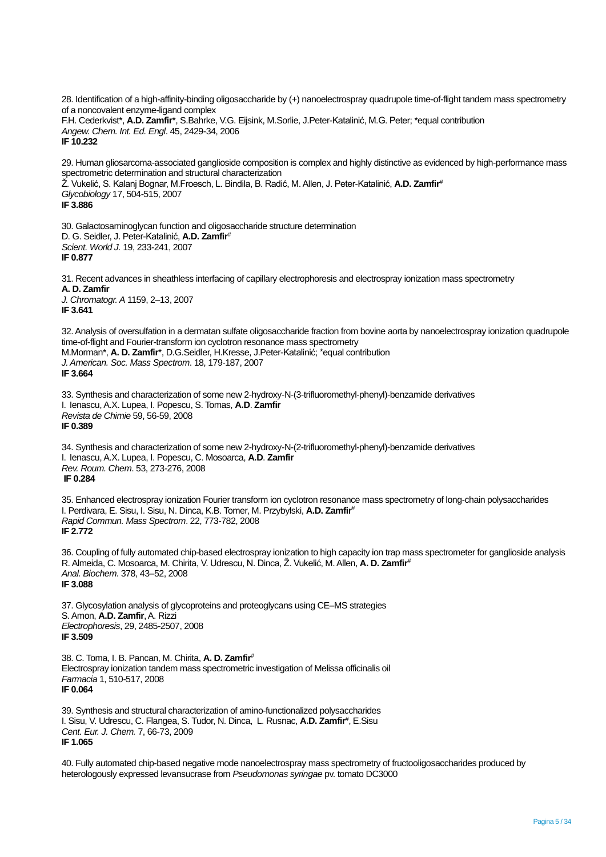28. Identification of a high-affinity-binding oligosaccharide by (+) nanoelectrospray quadrupole time-of-flight tandem mass spectrometry of a noncovalent enzyme-ligand complex F.H. Cederkvist\*, **A.D. Zamfir**\*, S.Bahrke, V.G. Eijsink, M.Sorlie, J.Peter-Katalinić, M.G. Peter; \*equal contribution *Angew. Chem. Int. Ed. Engl*. 45, 2429-34, 2006 **IF 10.232**

29. Human gliosarcoma-associated ganglioside composition is complex and highly distinctive as evidenced by high-performance mass spectrometric determination and structural characterization Ž. Vukelić, S. Kalanj Bognar, M.Froesch, L. Bindila, B. Radić, M. Allen, J. Peter-Katalinić, **A.D. Zamfir***# Glycobiology* 17, 504-515, 2007 **IF 3.886**

30. Galactosaminoglycan function and oligosaccharide structure determination D. G. Seidler, J. Peter-Katalinić, **A.D. Zamfir***# Scient. World J.* 19, 233-241, 2007 **IF 0.877**

31. Recent advances in sheathless interfacing of capillary electrophoresis and electrospray ionization mass spectrometry **A. D. Zamfir** *J. Chromatogr. A* 1159, 2–13, 2007 **IF 3.641**

32. Analysis of oversulfation in a dermatan sulfate oligosaccharide fraction from bovine aorta by nanoelectrospray ionization quadrupole time-of-flight and Fourier-transform ion cyclotron resonance mass spectrometry M.Morman\*, **A. D. Zamfir**\*, D.G.Seidler, H.Kresse, J.Peter-Katalinić; \*equal contribution *J. American. Soc. Mass Spectrom*. 18, 179-187, 2007 **IF 3.664**

33. Synthesis and characterization of some new 2-hydroxy-N-(3-trifluoromethyl-phenyl)-benzamide derivatives I. Ienascu, A.X. Lupea, I. Popescu, S. Tomas, **A.D**. **Zamfir** *Revista de Chimie* 59, 56-59, 2008 **IF 0.389**

34. Synthesis and characterization of some new 2-hydroxy-N-(2-trifluoromethyl-phenyl)-benzamide derivatives I. Ienascu, A.X. Lupea, I. Popescu, C. Mosoarca, **A.D**. **Zamfir** *Rev. Roum. Chem*. 53, 273-276, 2008 **IF 0.284**

35. Enhanced electrospray ionization Fourier transform ion cyclotron resonance mass spectrometry of long-chain polysaccharides I. Perdivara, E. Sisu, I. Sisu, N. Dinca, K.B. Tomer, M. Przybylski, **A.D. Zamfir***# Rapid Commun. Mass Spectrom*. 22, 773-782, 2008 **IF 2.772**

36. Coupling of fully automated chip-based electrospray ionization to high capacity ion trap mass spectrometer for ganglioside analysis R. Almeida, C. Mosoarca, M. Chirita, V. Udrescu, N. Dinca, Ž. Vukelić, M. Allen, **A. D. Zamfir***# Anal. Biochem*. 378, 43–52, 2008 **IF 3.088**

37. Glycosylation analysis of glycoproteins and proteoglycans using CE–MS strategies S. Amon, **A.D. Zamfir**, A. Rizzi *Electrophoresis*, 29, 2485-2507, 2008 **IF 3.509**

38. C. Toma, I. B. Pancan, M. Chirita, **A. D. Zamfir***#* Electrospray ionization tandem mass spectrometric investigation of Melissa officinalis oil *Farmacia* 1, 510-517, 2008 **IF 0.064**

39. Synthesis and structural characterization of amino-functionalized polysaccharides I. Sisu, V. Udrescu, C. Flangea, S. Tudor, N. Dinca, L. Rusnac, **A.D. Zamfir***#* , E.Sisu *Cent. Eur. J. Chem.* 7, 66-73, 2009 **IF 1.065**

40. Fully automated chip-based negative mode nanoelectrospray mass spectrometry of fructooligosaccharides produced by heterologously expressed levansucrase from *Pseudomonas syringae* pv. tomato DC3000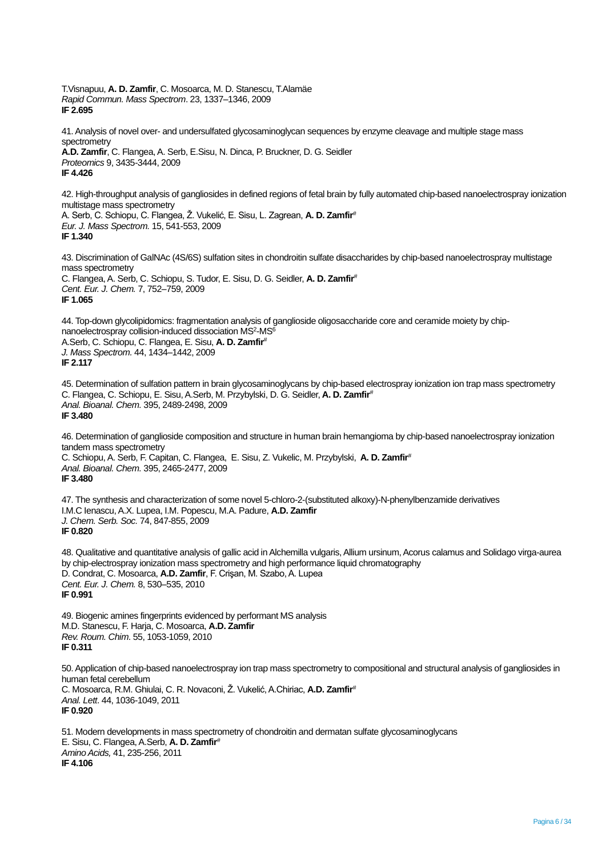T.Visnapuu, **A. D. Zamfir**, C. Mosoarca, M. D. Stanescu, T.Alamäe *Rapid Commun. Mass Spectrom*. 23, 1337–1346, 2009 **IF 2.695**

41. Analysis of novel over- and undersulfated glycosaminoglycan sequences by enzyme cleavage and multiple stage mass spectrometry **A.D. Zamfir**, C. Flangea, A. Serb, E.Sisu, N. Dinca, P. Bruckner, D. G. Seidler

*Proteomics* 9, 3435-3444, 2009 **IF 4.426**

42. High-throughput analysis of gangliosides in defined regions of fetal brain by fully automated chip-based nanoelectrospray ionization multistage mass spectrometry A. Serb, C. Schiopu, C. Flangea, Ž. Vukelić, E. Sisu, L. Zagrean, **A. D. Zamfir***# Eur. J. Mass Spectrom.* 15, 541-553, 2009

**IF 1.340**

43. Discrimination of GalNAc (4S/6S) sulfation sites in chondroitin sulfate disaccharides by chip-based nanoelectrospray multistage mass spectrometry C. Flangea, A. Serb, C. Schiopu, S. Tudor, E. Sisu, D. G. Seidler, **A. D. Zamfir***# Cent. Eur. J. Chem.* 7, 752–759, 2009 **IF 1.065**

44. Top-down glycolipidomics: fragmentation analysis of ganglioside oligosaccharide core and ceramide moiety by chipnanoelectrospray collision-induced dissociation MS<sup>2</sup>-MS<sup>6</sup> A.Serb, C. Schiopu, C. Flangea, E. Sisu, **A. D. Zamfir***# J. Mass Spectrom.* 44, 1434–1442, 2009 **IF 2.117**

45. Determination of sulfation pattern in brain glycosaminoglycans by chip-based electrospray ionization ion trap mass spectrometry C. Flangea, C. Schiopu, E. Sisu, A.Serb, M. Przybylski, D. G. Seidler, **A. D. Zamfir***# Anal. Bioanal. Chem.* 395, 2489-2498, 2009 **IF 3.480**

46. Determination of ganglioside composition and structure in human brain hemangioma by chip-based nanoelectrospray ionization tandem mass spectrometry C. Schiopu, A. Serb, F. Capitan, C. Flangea, E. Sisu, Z. Vukelic, M. Przybylski, **A. D. Zamfir***# Anal. Bioanal. Chem.* 395, 2465-2477, 2009 **IF 3.480**

47. The synthesis and characterization of some novel 5-chloro-2-(substituted alkoxy)-N-phenylbenzamide derivatives I.M.C Ienascu, A.X. Lupea, I.M. Popescu, M.A. Padure, **A.D. Zamfir** *J. Chem. Serb. Soc.* 74, 847-855, 2009 **IF 0.820**

48. Qualitative and quantitative analysis of gallic acid in Alchemilla vulgaris, Allium ursinum, Acorus calamus and Solidago virga-aurea by chip-electrospray ionization mass spectrometry and high performance liquid chromatography D. Condrat, C. Mosoarca, **A.D. Zamfir**, F. Crişan, M. Szabo, A. Lupea *Cent. Eur. J. Chem.* 8, 530–535, 2010 **IF 0.991**

49. Biogenic amines fingerprints evidenced by performant MS analysis M.D. Stanescu, F. Harja, C. Mosoarca, **A.D. Zamfir** *Rev. Roum. Chim*. 55, 1053-1059, 2010 **IF 0.311**

50. Application of chip-based nanoelectrospray ion trap mass spectrometry to compositional and structural analysis of gangliosides in human fetal cerebellum C. Mosoarca, R.M. Ghiulai, C. R. Novaconi, Ž. Vukelić, A.Chiriac, **A.D. Zamfir***# Anal. Lett*. 44, 1036-1049, 2011 **IF 0.920**

51. Modern developments in mass spectrometry of chondroitin and dermatan sulfate glycosaminoglycans E. Sisu, C. Flangea, A.Serb, **A. D. Zamfir***# Amino Acids,* 41, 235-256, 2011 **IF 4.106**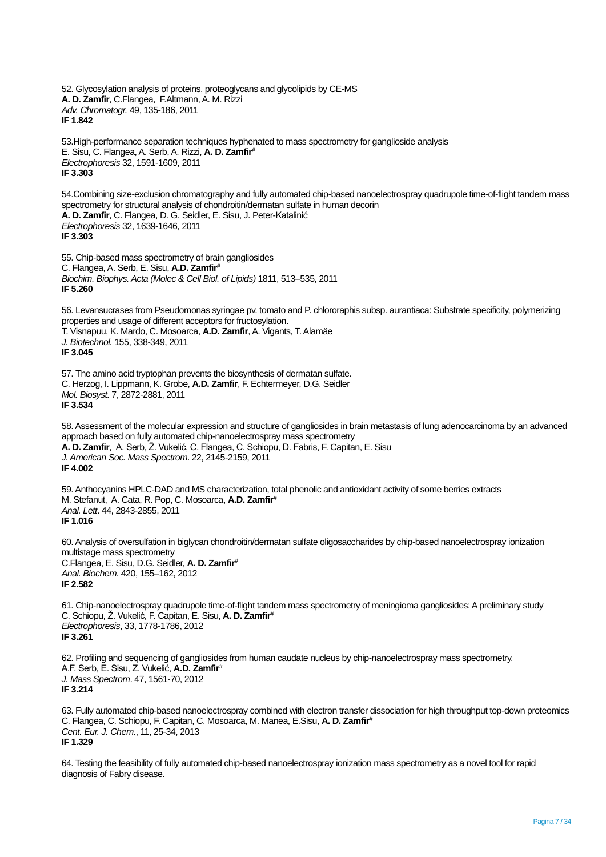52. Glycosylation analysis of proteins, proteoglycans and glycolipids by CE-MS **A. D. Zamfir**, C.Flangea, F.Altmann, A. M. Rizzi *Adv. Chromatogr.* 49, 135-186, 2011 **IF 1.842**

53.High-performance separation techniques hyphenated to mass spectrometry for ganglioside analysis E. Sisu, C. Flangea, A. Serb, A. Rizzi, **A. D. Zamfir***# Electrophoresis* 32, 1591-1609, 2011 **IF 3.303**

54.Combining size-exclusion chromatography and fully automated chip-based nanoelectrospray quadrupole time-of-flight tandem mass spectrometry for structural analysis of chondroitin/dermatan sulfate in human decorin **A. D. Zamfir**, C. Flangea, D. G. Seidler, E. Sisu, J. Peter-Katalinić *Electrophoresis* 32, 1639-1646, 2011 **IF 3.303**

55. Chip-based mass spectrometry of brain gangliosides C. Flangea, A. Serb, E. Sisu, **A.D. Zamfir***# Biochim. Biophys. Acta (Molec & Cell Biol. of Lipids)* 1811, 513–535, 2011 **IF 5.260**

56. Levansucrases from Pseudomonas syringae pv. tomato and P. chlororaphis subsp. aurantiaca: Substrate specificity, polymerizing properties and usage of different acceptors for fructosylation. T. Visnapuu, K. Mardo, C. Mosoarca, **A.D. Zamfir**, A. Vigants, T. Alamäe

*J. Biotechnol.* 155, 338-349, 2011

**IF 3.045**

57. The amino acid tryptophan prevents the biosynthesis of dermatan sulfate. C. Herzog, I. Lippmann, K. Grobe, **A.D. Zamfir**, F. Echtermeyer, D.G. Seidler *Mol. Biosyst.* 7, 2872-2881, 2011 **IF 3.534**

58.Assessment of the molecular expression and structure of gangliosides in brain metastasis of lung adenocarcinoma by an advanced approach based on fully automated chip-nanoelectrospray mass spectrometry **A. D. Zamfir**, A. Serb, Ž. Vukelić, C. Flangea, C. Schiopu, D. Fabris, F. Capitan, E. Sisu *J. American Soc. Mass Spectrom*. 22, 2145-2159, 2011 **IF 4.002**

59. Anthocyanins HPLC-DAD and MS characterization, total phenolic and antioxidant activity of some berries extracts M. Stefanut, A. Cata, R. Pop, C. Mosoarca, **A.D. Zamfir***# Anal. Lett*. 44, 2843-2855, 2011 **IF 1.016**

60. Analysis of oversulfation in biglycan chondroitin/dermatan sulfate oligosaccharides by chip-based nanoelectrospray ionization multistage mass spectrometry C.Flangea, E. Sisu, D.G. Seidler, **A. D. Zamfir***#*  *Anal. Biochem*. 420, 155–162, 2012 **IF 2.582**

61. Chip-nanoelectrospray quadrupole time-of-flight tandem mass spectrometry of meningioma gangliosides: A preliminary study C. Schiopu, Ž. Vukelić, F. Capitan, E. Sisu, **A. D. Zamfir***# Electrophoresis*, 33, 1778-1786, 2012 **IF 3.261**

62. Profiling and sequencing of gangliosides from human caudate nucleus by chip-nanoelectrospray mass spectrometry. A.F. Serb, E. Sisu, Z. Vukelić, **A.D. Zamfir***# J. Mass Spectrom*. 47, 1561-70, 2012 **IF 3.214**

63. Fully automated chip-based nanoelectrospray combined with electron transfer dissociation for high throughput top-down proteomics C. Flangea, C. Schiopu, F. Capitan, C. Mosoarca, M. Manea, E.Sisu, **A. D. Zamfir***# Cent. Eur. J. Chem*., 11, 25-34, 2013 **IF 1.329**

64. Testing the feasibility of fully automated chip-based nanoelectrospray ionization mass spectrometry as a novel tool for rapid diagnosis of Fabry disease.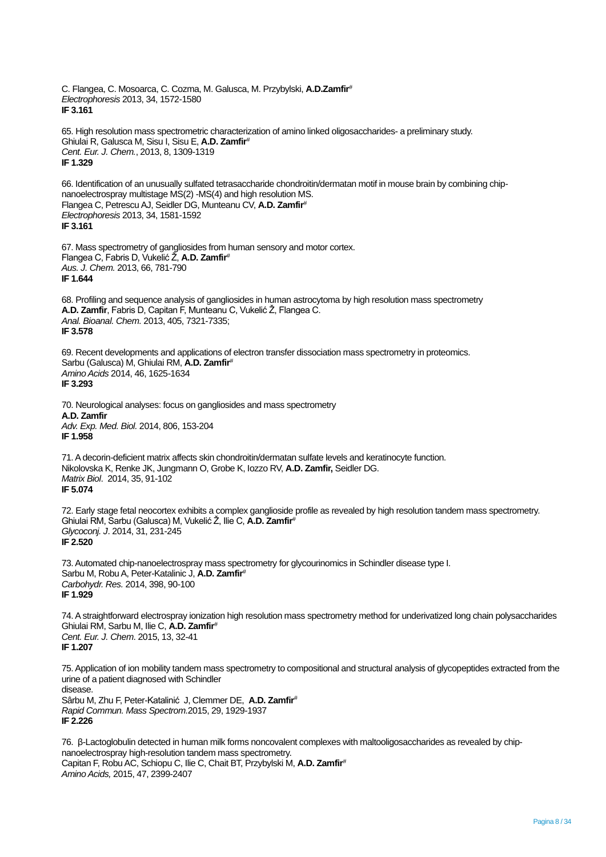C. Flangea, C. Mosoarca, C. Cozma, M. Galusca, M. Przybylski, **A.D.Zamfir***# Electrophoresis* 2013, 34, 1572-1580 **IF 3.161** 65. High resolution mass spectrometric characterization of amino linked oligosaccharides- a preliminary study. Ghiulai R, Galusca M, Sisu I, Sisu E, **A.D. Zamfir***# Cent. Eur. J. Chem.*, 2013, 8, 1309-1319 **IF 1.329** 66. Identification of an unusually sulfated tetrasaccharide chondroitin/dermatan motif in mouse brain by combining chipnanoelectrospray multistage MS(2) -MS(4) and high resolution MS. Flangea C, Petrescu AJ, Seidler DG, Munteanu CV, **A.D. Zamfir***# Electrophoresis* 2013, 34, 1581-1592 **IF 3.161** 67. Mass spectrometry of gangliosides from human sensory and motor cortex. Flangea C, Fabris D, Vukelić Ž, **A.D. Zamfir***# Aus. J. Chem.* 2013, 66, 781-790 **IF 1.644** 68. Profiling and sequence analysis of gangliosides in human astrocytoma by high resolution mass spectrometry **A.D. Zamfir**, Fabris D, Capitan F, Munteanu C, Vukelić Ž, Flangea C. *Anal. Bioanal. Chem.* 2013, 405, 7321-7335; **IF 3.578** 69. Recent developments and applications of electron transfer dissociation mass spectrometry in proteomics. Sarbu (Galusca) M, Ghiulai RM, **A.D. Zamfir***# Amino Acids* 2014, 46, 1625-1634 **IF 3.293** 70. Neurological analyses: focus on gangliosides and mass spectrometry **A.D. Zamfir** *Adv. Exp. Med. Biol.* 2014, 806, 153-204 **IF 1.958** 71. A decorin-deficient matrix affects skin chondroitin/dermatan sulfate levels and keratinocyte function. Nikolovska K, Renke JK, Jungmann O, Grobe K, Iozzo RV, **A.D. Zamfir,** Seidler DG. *Matrix Biol*. 2014, 35, 91-102 **IF 5.074** 72. Early stage fetal neocortex exhibits a complex ganglioside profile as revealed by high resolution tandem mass spectrometry. Ghiulai RM, Sarbu (Galusca) M, Vukelić Ž, Ilie C, **A.D. Zamfir***# Glycoconj. J*. 2014, 31, 231-245 **IF 2.520** 73. Automated chip-nanoelectrospray mass spectrometry for glycourinomics in Schindler disease type I. Sarbu M, Robu A, Peter-Katalinic J, **A.D. Zamfir***# Carbohydr. Res.* 2014, 398, 90-100 **IF 1.929** 74. A straightforward electrospray ionization high resolution mass spectrometry method for underivatized long chain polysaccharides Ghiulai RM, Sarbu M, Ilie C, **A.D. Zamfir***# Cent. Eur. J. Chem*. 2015, 13, 32-41 **IF 1.207** 75. Application of ion mobility tandem mass spectrometry to compositional and structural analysis of glycopeptides extracted from the urine of a patient diagnosed with Schindler disease. Sârbu M, Zhu F, Peter-Katalinić J, Clemmer DE, **A.D. Zamfir***# Rapid Commun. Mass Spectrom.*2015, 29, 1929-1937 **IF 2.226**

76. β-Lactoglobulin detected in human milk forms noncovalent complexes with maltooligosaccharides as revealed by chipnanoelectrospray high-resolution tandem mass spectrometry. Capitan F, Robu AC, Schiopu C, Ilie C, Chait BT, Przybylski M, **A.D. Zamfir***# Amino Acids,* 2015, 47, 2399-2407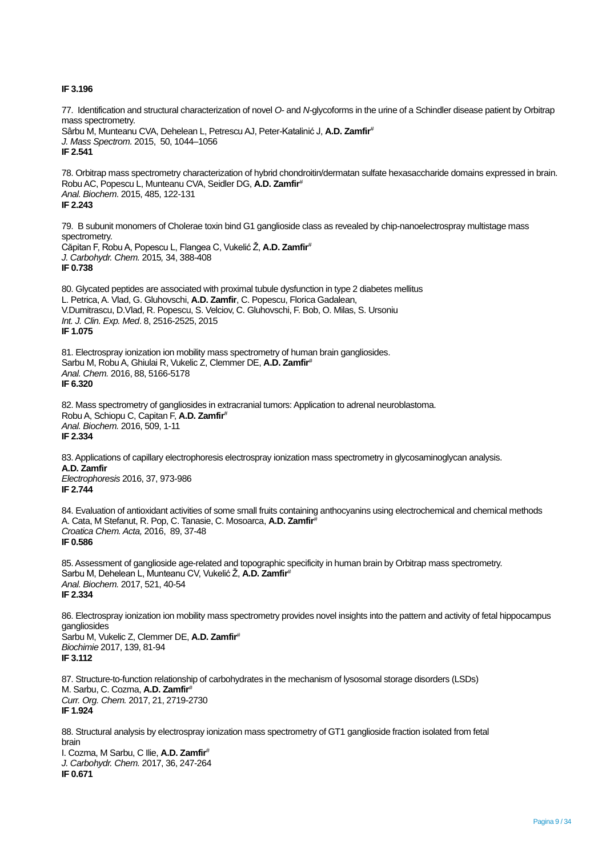# **IF 3.196**

77. Identification and structural characterization of novel *O-* and *N-*glycoforms in the urine of a Schindler disease patient by Orbitrap mass spectrometry. Sârbu M, Munteanu CVA, Dehelean L, Petrescu AJ, Peter-Katalinić J, **A.D. Zamfir***# J. Mass Spectrom.* 2015, 50, 1044–1056 **IF 2.541**

78. Orbitrap mass spectrometry characterization of hybrid chondroitin/dermatan sulfate hexasaccharide domains expressed in brain. Robu AC, Popescu L, Munteanu CVA, Seidler DG, **A.D. Zamfir***# Anal. Biochem*. 2015, 485, 122-131 **IF 2.243**

79. B subunit monomers of Cholerae toxin bind G1 ganglioside class as revealed by chip-nanoelectrospray multistage mass spectrometry. Căpitan F, RobuA, Popescu L, Flangea C, Vukelić Ž, **A.D. Zamfir***# J. Carbohydr. Chem.* 2015*,* 34, 388-408 **IF 0.738**

80. Glycated peptides are associated with proximal tubule dysfunction in type 2 diabetes mellitus L. Petrica, A. Vlad, G. Gluhovschi, **A.D. Zamfir**, C. Popescu, Florica Gadalean, V.Dumitrascu, D.Vlad, R. Popescu, S. Velciov, C. Gluhovschi, F. Bob, O. Milas, S. Ursoniu *Int. J. Clin. Exp. Med*. 8, 2516-2525, 2015 **IF 1.075**

81. Electrospray ionization ion mobility mass spectrometry of human brain gangliosides. Sarbu M, Robu A, Ghiulai R, Vukelic Z, Clemmer DE, **A.D. Zamfir***# Anal. Chem.* 2016, 88, 5166-5178 **IF 6.320**

82. Mass spectrometry of gangliosides in extracranial tumors: Application to adrenal neuroblastoma. Robu A, Schiopu C, Capitan F, **A.D. Zamfir***# Anal. Biochem.* 2016, 509, 1-11 **IF 2.334**

83. Applications of capillary electrophoresis electrospray ionization mass spectrometry in glycosaminoglycan analysis. **A.D. Zamfir** *Electrophoresis* 2016, 37, 973-986 **IF 2.744**

84. Evaluation of antioxidant activities of some small fruits containing anthocyanins using electrochemical and chemical methods A. Cata, M Stefanut, R. Pop, C. Tanasie, C. Mosoarca, **A.D. Zamfir***# Croatica Chem. Acta,* 2016, 89, 37-48 **IF 0.586**

85. Assessment of ganglioside age-related and topographic specificity in human brain by Orbitrap mass spectrometry. Sarbu M, Dehelean L, Munteanu CV, Vukelić Ž, **A.D. Zamfir***# Anal. Biochem.* 2017, 521, 40-54 **IF 2.334**

86. Electrospray ionization ion mobility mass spectrometry provides novel insights into the pattern and activity of fetal hippocampus gangliosides Sarbu M, Vukelic Z, Clemmer DE, **A.D. Zamfir***# Biochimie* 2017, 139, 81-94 **IF 3.112**

87. Structure-to-function relationship of carbohydrates in the mechanism of lysosomal storage disorders (LSDs) M. Sarbu, C. Cozma, **A.D. Zamfir***# Curr. Org. Chem.* 2017, 21, 2719-2730 **IF 1.924**

88. Structural analysis by electrospray ionization mass spectrometry of GT1 ganglioside fraction isolated from fetal brain

I. Cozma, M Sarbu, C Ilie, **A.D. Zamfir***# J. Carbohydr. Chem.* 2017, 36, 247-264 **IF 0.671**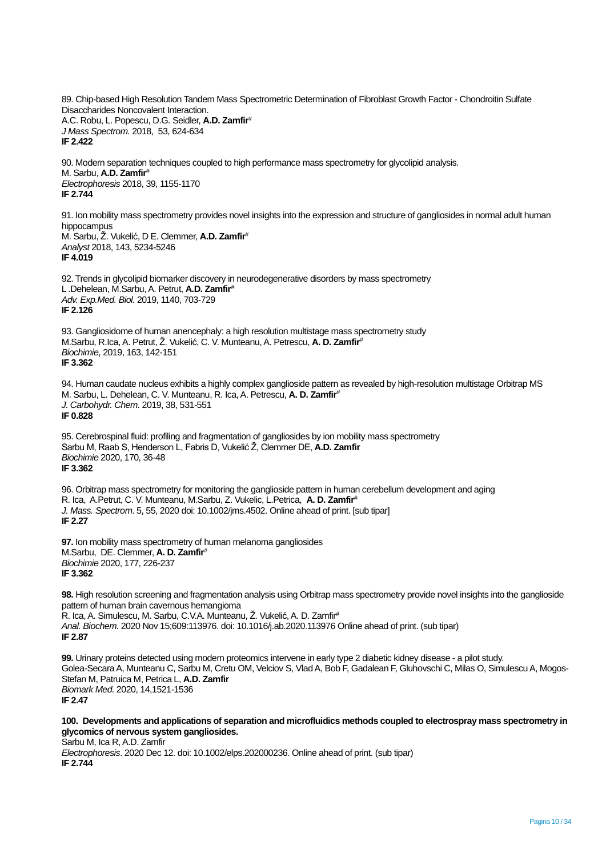89. Chip-based High Resolution Tandem Mass Spectrometric Determination of Fibroblast Growth Factor - Chondroitin Sulfate Disaccharides Noncovalent Interaction. A.C. Robu, L. Popescu, D.G. Seidler, **A.D. Zamfir***# J Mass Spectrom.* 2018, 53, 624-634 **IF 2.422**

90. Modern separation techniques coupled to high performance mass spectrometry for glycolipid analysis. M. Sarbu, **A.D. Zamfir***# Electrophoresis* 2018, 39, 1155-1170 **IF 2.744**

91. Ion mobility mass spectrometry provides novel insights into the expression and structure of gangliosides in normal adult human hippocampus M. Sarbu, Ž. Vukelić, D E. Clemmer, **A.D. Zamfir***# Analyst* 2018, 143, 5234-5246 **IF 4.019**

92. Trends in glycolipid biomarker discovery in neurodegenerative disorders by mass spectrometry L .Dehelean, M.Sarbu, A. Petrut, **A.D. Zamfir***# Adv. Exp.Med. Biol.* 2019, 1140, 703-729 **IF 2.126**

93. Gangliosidome of human anencephaly: a high resolution multistage mass spectrometry study M.Sarbu, R.Ica, A. Petrut, Ž. Vukelić, C. V. Munteanu,A. Petrescu, **A. D. Zamfir***# Biochimie*, 2019, 163, 142-151 **IF 3.362**

94. Human caudate nucleus exhibits a highly complex ganglioside pattern as revealed by high-resolution multistage Orbitrap MS M. Sarbu, L. Dehelean, C. V. Munteanu, R. Ica, A. Petrescu, **A. D. Zamfir***# J. Carbohydr. Chem.* 2019, 38, 531-551 **IF 0.828**

95. Cerebrospinal fluid: profiling and fragmentation of gangliosides by ion mobility mass spectrometry Sarbu M, Raab S, Henderson L, Fabris D, Vukelić Ž, Clemmer DE, **A.D. Zamfir**  *Biochimie* 2020, 170, 36-48 **IF 3.362**

96. Orbitrap mass spectrometry for monitoring the ganglioside pattern in human cerebellum development and aging R. Ica, A.Petrut, C. V. Munteanu, M.Sarbu, Z. Vukelic, L.Petrica, **A. D. Zamfir***# J. Mass. Spectrom*. 5, 55, 2020 doi: 10.1002/jms.4502. Online ahead of print. [sub tipar] **IF 2.27**

**97.** Ion mobility mass spectrometry of human melanoma gangliosides M.Sarbu, DE. Clemmer, **A. D. Zamfir***# Biochimie* 2020, 177, 226-237 **IF 3.362**

**98.** High resolution screening and fragmentation analysis using Orbitrap mass spectrometry provide novel insights into the ganglioside pattern of human brain cavernous hemangioma

R. Ica, A. Simulescu, M. Sarbu, C.V.A. Munteanu, Ž. Vukelić, A. D. Zamfir*# Anal. Biochem.* 2020 Nov 15;609:113976. doi: 10.1016/j.ab.2020.113976 Online ahead of print. (sub tipar) **IF 2.87**

**99.** Urinary proteins detected using modern proteomics intervene in early type 2 diabetic kidney disease - a pilot study. Golea-Secara A, Munteanu C, Sarbu M, Cretu OM, Velciov S, Vlad A, Bob F, Gadalean F, Gluhovschi C, Milas O, Simulescu A, Mogos-Stefan M, Patruica M, Petrica L, **A.D. Zamfir**  *Biomark Med.* 2020, 14,1521-1536 **IF 2.47**

**100. Developments and applications of separation and microfluidics methods coupled to electrospray mass spectrometry in glycomics of nervous system gangliosides.** Sarbu M, Ica R, A.D. Zamfir

*Electrophoresis*. 2020 Dec 12. doi: 10.1002/elps.202000236. Online ahead of print. (sub tipar) **IF 2.744**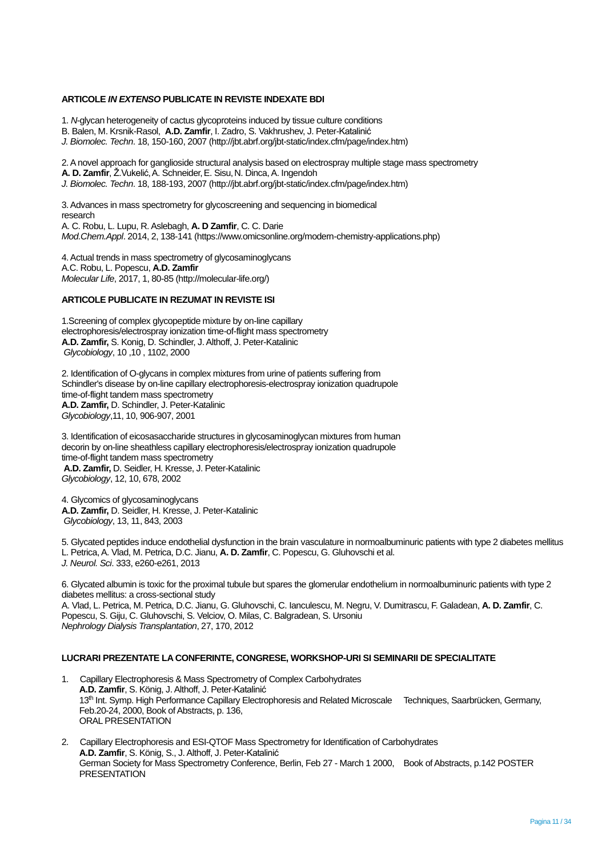## **ARTICOLE** *IN EXTENSO* **PUBLICATE IN REVISTE INDEXATE BDI**

- 1. *N*-glycan heterogeneity of cactus glycoproteins induced by tissue culture conditions
- B. Balen, M. Krsnik-Rasol, **A.D. Zamfir**, I. Zadro, S. Vakhrushev, J. Peter-Katalinić
- *J. Biomolec. Techn*. 18, 150-160, 2007 (http://jbt.abrf.org/jbt-static/index.cfm/page/index.htm)

2. A novel approach for ganglioside structural analysis based on electrospray multiple stage mass spectrometry

**A. D. Zamfir**, Ž.Vukelić,A. Schneider,E. Sisu,N. Dinca, A. Ingendoh

*J. Biomolec. Techn*. 18, 188-193, 2007 (http://jbt.abrf.org/jbt-static/index.cfm/page/index.htm)

3. Advances in mass spectrometry for glycoscreening and sequencing in biomedical research A. C. Robu, L. Lupu, R. Aslebagh, **A. D Zamfir**, C. C. Darie *Mod.Chem.Appl*. 2014, 2, 138-141 (https://www.omicsonline.org/modern-chemistry-applications.php)

4. Actual trends in mass spectrometry of glycosaminoglycans A.C. Robu, L. Popescu, **A.D. Zamfir** *Molecular Life*, 2017, 1, 80-85 (http://molecular-life.org/)

# **ARTICOLE PUBLICATE IN REZUMAT IN REVISTE ISI**

1.Screening of complex glycopeptide mixture by on-line capillary electrophoresis/electrospray ionization time-of-flight mass spectrometry **A.D. Zamfir,** S. Konig, D. Schindler, J. Althoff, J. Peter-Katalinic *Glycobiology*, 10 ,10 , 1102, 2000

2. Identification of O-glycans in complex mixtures from urine of patients suffering from Schindler's disease by on-line capillary electrophoresis-electrospray ionization quadrupole time-of-flight tandem mass spectrometry **A.D. Zamfir,** D. Schindler, J. Peter-Katalinic *Glycobiology*,11, 10, 906-907, 2001

3. Identification of eicosasaccharide structures in glycosaminoglycan mixtures from human decorin by on-line sheathless capillary electrophoresis/electrospray ionization quadrupole time-of-flight tandem mass spectrometry **A.D. Zamfir,** D. Seidler, H. Kresse, J. Peter-Katalinic *Glycobiology*, 12, 10, 678, 2002

4. Glycomics of glycosaminoglycans **A.D. Zamfir,** D. Seidler, H. Kresse, J. Peter-Katalinic *Glycobiology*, 13, 11, 843, 2003

5. Glycated peptides induce endothelial dysfunction in the brain vasculature in normoalbuminuric patients with type 2 diabetes mellitus L. Petrica, A. Vlad, M. Petrica, D.C. Jianu, **A. D. Zamfir**, C. Popescu, G. Gluhovschi et al.

*J. Neurol. Sci*. 333, e260-e261, 2013

6. Glycated albumin is toxic for the proximal tubule but spares the glomerular endothelium in normoalbuminuric patients with type 2 diabetes mellitus: a cross-sectional study A. Vlad, L. Petrica, M. Petrica, D.C. Jianu, G. Gluhovschi, C. Ianculescu, M. Negru, V. Dumitrascu, F. Galadean, **A. D. Zamfir**, C. Popescu, S. Giju, C. Gluhovschi, S. Velciov, O. Milas, C. Balgradean, S. Ursoniu *Nephrology Dialysis Transplantation*, 27, 170, 2012

# **LUCRARI PREZENTATE LA CONFERINTE, CONGRESE, WORKSHOP-URI SI SEMINARII DE SPECIALITATE**

- 1. Capillary Electrophoresis & Mass Spectrometry of Complex Carbohydrates **A.D. Zamfir**, S. König, J. Althoff, J. Peter-Katalinić 13th Int. Symp. High Performance Capillary Electrophoresis and Related Microscale Techniques, Saarbrücken, Germany, Feb.20-24, 2000, Book of Abstracts, p. 136, ORAL PRESENTATION
- 2. Capillary Electrophoresis and ESI-QTOF Mass Spectrometry for Identification of Carbohydrates **A.D. Zamfir**, S. König, S., J. Althoff, J. Peter-Katalinić German Society for Mass Spectrometry Conference, Berlin, Feb 27 - March 1 2000, Book of Abstracts, p.142 POSTER **PRESENTATION**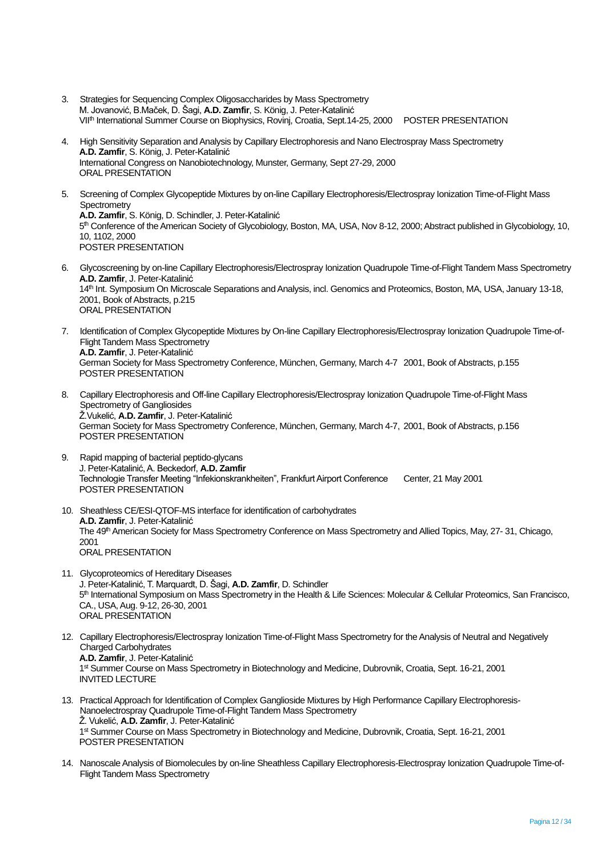- 3. Strategies for Sequencing Complex Oligosaccharides by Mass Spectrometry M. Jovanović, B.Maček, D. Šagi, **A.D. Zamfir**, S. König, J. Peter-Katalinić VIIth International Summer Course on Biophysics, Rovinj, Croatia, Sept.14-25, 2000 POSTER PRESENTATION
- 4. High Sensitivity Separation and Analysis by Capillary Electrophoresis and Nano Electrospray Mass Spectrometry **A.D. Zamfir**, S. König, J. Peter-Katalinić International Congress on Nanobiotechnology, Munster, Germany, Sept 27-29, 2000 ORAL PRESENTATION
- 5. Screening of Complex Glycopeptide Mixtures by on-line Capillary Electrophoresis/Electrospray Ionization Time-of-Flight Mass **Spectrometry A.D. Zamfir**, S. König, D. Schindler, J. Peter-Katalinić 5<sup>th</sup> Conference of the American Society of Glycobiology, Boston, MA, USA, Nov 8-12, 2000; Abstract published in Glycobiology, 10, 10, 1102, 2000 POSTER PRESENTATION
- 6. Glycoscreening by on-line Capillary Electrophoresis/Electrospray Ionization Quadrupole Time-of-Flight Tandem Mass Spectrometry **A.D. Zamfir**, J. Peter-Katalinić 14<sup>th</sup> Int. Symposium On Microscale Separations and Analysis, incl. Genomics and Proteomics, Boston, MA, USA, January 13-18, 2001, Book of Abstracts, p.215 ORAL PRESENTATION
- 7. Identification of Complex Glycopeptide Mixtures by On-line Capillary Electrophoresis/Electrospray Ionization Quadrupole Time-of-Flight Tandem Mass Spectrometry **A.D. Zamfir**, J. Peter-Katalinić German Society for Mass Spectrometry Conference, München, Germany, March 4-7 2001, Book of Abstracts, p.155 POSTER PRESENTATION
- 8. Capillary Electrophoresis and Off-line Capillary Electrophoresis/Electrospray Ionization Quadrupole Time-of-Flight Mass Spectrometry of Gangliosides Ž.Vukelić, **A.D. Zamfir**, J. Peter-Katalinić German Society for Mass Spectrometry Conference, München, Germany, March 4-7, 2001, Book of Abstracts, p.156 POSTER PRESENTATION
- 9. Rapid mapping of bacterial peptido-glycans J. Peter-Katalinić, A. Beckedorf, **A.D. Zamfir** Technologie Transfer Meeting "Infekionskrankheiten", Frankfurt Airport Conference Center, 21 May 2001 POSTER PRESENTATION
- 10. Sheathless CE/ESI-QTOF-MS interface for identification of carbohydrates **A.D. Zamfir**, J. Peter-Katalinić The 49<sup>th</sup> American Society for Mass Spectrometry Conference on Mass Spectrometry and Allied Topics, May, 27-31, Chicago, 2001 ORAL PRESENTATION
- 11. Glycoproteomics of Hereditary Diseases J. Peter-Katalinić, T. Marquardt, D. Šagi, **A.D. Zamfir**, D. Schindler 5<sup>th</sup> International Symposium on Mass Spectrometry in the Health & Life Sciences: Molecular & Cellular Proteomics, San Francisco, CA., USA, Aug. 9-12, 26-30, 2001 ORAL PRESENTATION
- 12. Capillary Electrophoresis/Electrospray Ionization Time-of-Flight Mass Spectrometry for the Analysis of Neutral and Negatively Charged Carbohydrates **A.D. Zamfir**, J. Peter-Katalinić 1<sup>st</sup> Summer Course on Mass Spectrometry in Biotechnology and Medicine, Dubrovnik, Croatia, Sept. 16-21, 2001 INVITED LECTURE
- 13. Practical Approach for Identification of Complex Ganglioside Mixtures by High Performance Capillary Electrophoresis-Nanoelectrospray Quadrupole Time-of-Flight Tandem Mass Spectrometry Ž. Vukelić, **A.D. Zamfir**, J. Peter-Katalinić 1<sup>st</sup> Summer Course on Mass Spectrometry in Biotechnology and Medicine, Dubrovnik, Croatia, Sept. 16-21, 2001 POSTER PRESENTATION
- 14. Nanoscale Analysis of Biomolecules by on-line Sheathless Capillary Electrophoresis-Electrospray Ionization Quadrupole Time-of-Flight Tandem Mass Spectrometry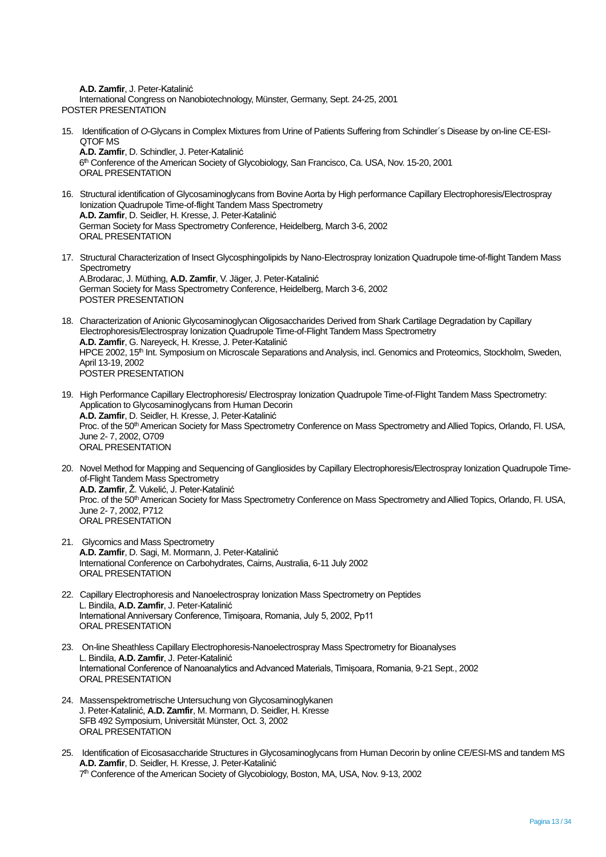**A.D. Zamfir**, J. Peter-Katalinić

International Congress on Nanobiotechnology, Münster, Germany, Sept. 24-25, 2001 POSTER PRESENTATION

15. Identification of *O*-Glycans in Complex Mixtures from Urine of Patients Suffering from Schindler´s Disease by on-line CE-ESI-QTOF MS **A.D. Zamfir**, D. Schindler, J. Peter-Katalinić

6 th Conference of the American Society of Glycobiology, San Francisco, Ca. USA, Nov. 15-20, 2001 ORAL PRESENTATION

- 16. Structural identification of Glycosaminoglycans from Bovine Aorta by High performance Capillary Electrophoresis/Electrospray Ionization Quadrupole Time-of-flight Tandem Mass Spectrometry **A.D. Zamfir**, D. Seidler, H. Kresse, J. Peter-Katalinić German Society for Mass Spectrometry Conference, Heidelberg, March 3-6, 2002 ORAL PRESENTATION
- 17. Structural Characterization of Insect Glycosphingolipids by Nano-Electrospray Ionization Quadrupole time-of-flight Tandem Mass **Spectrometry** A.Brodarac, J. Müthing, **A.D. Zamfir**, V. Jäger, J. Peter-Katalinić German Society for Mass Spectrometry Conference, Heidelberg, March 3-6, 2002 POSTER PRESENTATION

18. Characterization of Anionic Glycosaminoglycan Oligosaccharides Derived from Shark Cartilage Degradation by Capillary Electrophoresis/Electrospray Ionization Quadrupole Time-of-Flight Tandem Mass Spectrometry **A.D. Zamfir**, G. Nareyeck, H. Kresse, J. Peter-Katalinić HPCE 2002, 15<sup>th</sup> Int. Symposium on Microscale Separations and Analysis, incl. Genomics and Proteomics, Stockholm, Sweden, April 13-19, 2002 POSTER PRESENTATION

- 19. High Performance Capillary Electrophoresis/ Electrospray Ionization Quadrupole Time-of-Flight Tandem Mass Spectrometry: Application to Glycosaminoglycans from Human Decorin **A.D. Zamfir**, D. Seidler, H. Kresse, J. Peter-Katalinić Proc. of the 50<sup>th</sup> American Society for Mass Spectrometry Conference on Mass Spectrometry and Allied Topics, Orlando, Fl. USA, June 2- 7, 2002, O709 ORAL PRESENTATION
- 20. Novel Method for Mapping and Sequencing of Gangliosides by Capillary Electrophoresis/Electrospray Ionization Quadrupole Timeof-Flight Tandem Mass Spectrometry **A.D. Zamfir**, Ž. Vukelić, J. Peter-Katalinić Proc. of the 50<sup>th</sup> American Society for Mass Spectrometry Conference on Mass Spectrometry and Allied Topics, Orlando, Fl. USA, June 2- 7, 2002, P712 ORAL PRESENTATION
- 21. Glycomics and Mass Spectrometry **A.D. Zamfir**, D. Sagi, M. Mormann, J. Peter-Katalinić International Conference on Carbohydrates, Cairns, Australia, 6-11 July 2002 ORAL PRESENTATION
- 22. Capillary Electrophoresis and Nanoelectrospray Ionization Mass Spectrometry on Peptides L. Bindila, **A.D. Zamfir**, J. Peter-Katalinić International Anniversary Conference, Timișoara, Romania, July 5, 2002, Pp11 ORAL PRESENTATION
- 23. On-line Sheathless Capillary Electrophoresis-Nanoelectrospray Mass Spectrometry for Bioanalyses L. Bindila, **A.D. Zamfir**, J. Peter-Katalinić International Conference of Nanoanalytics and Advanced Materials, Timișoara, Romania, 9-21 Sept., 2002 ORAL PRESENTATION
- 24. Massenspektrometrische Untersuchung von Glycosaminoglykanen J. Peter-Katalinić, **A.D. Zamfir**, M. Mormann, D. Seidler, H. Kresse SFB 492 Symposium, Universität Münster, Oct. 3, 2002 ORAL PRESENTATION
- 25. Identification of Eicosasaccharide Structures in Glycosaminoglycans from Human Decorin by online CE/ESI-MS and tandem MS **A.D. Zamfir**, D. Seidler, H. Kresse, J. Peter-Katalinić 7<sup>th</sup> Conference of the American Society of Glycobiology, Boston, MA, USA, Nov. 9-13, 2002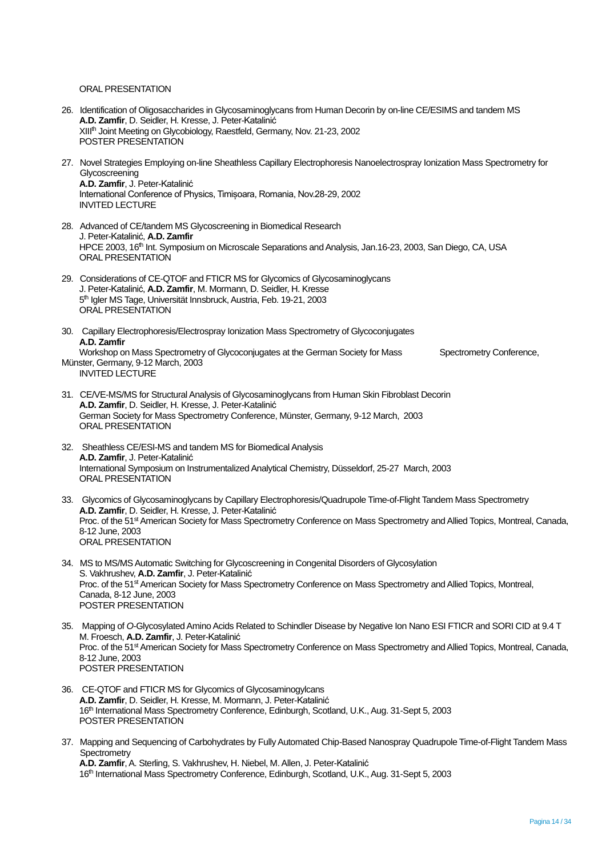# ORAL PRESENTATION

- 26. Identification of Oligosaccharides in Glycosaminoglycans from Human Decorin by on-line CE/ESIMS and tandem MS **A.D. Zamfir**, D. Seidler, H. Kresse, J. Peter-Katalinić XIII<sup>th</sup> Joint Meeting on Glycobiology, Raestfeld, Germany, Nov. 21-23, 2002 POSTER PRESENTATION
- 27. Novel Strategies Employing on-line Sheathless Capillary Electrophoresis Nanoelectrospray Ionization Mass Spectrometry for Glycoscreening **A.D. Zamfir**, J. Peter-Katalinić International Conference of Physics, Timișoara, Romania, Nov.28-29, 2002 INVITED LECTURE
- 28. Advanced of CE/tandem MS Glycoscreening in Biomedical Research J. Peter-Katalinić, **A.D. Zamfir** HPCE 2003, 16<sup>th</sup> Int. Symposium on Microscale Separations and Analysis, Jan.16-23, 2003, San Diego, CA, USA ORAL PRESENTATION
- 29. Considerations of CE-QTOF and FTICR MS for Glycomics of Glycosaminoglycans J. Peter-Katalinić, **A.D. Zamfir**, M. Mormann, D. Seidler, H. Kresse 5 th Igler MS Tage, Universität Innsbruck, Austria, Feb. 19-21, 2003 ORAL PRESENTATION
- 30. Capillary Electrophoresis/Electrospray Ionization Mass Spectrometry of Glycoconjugates **A.D. Zamfir** Workshop on Mass Spectrometry of Glycoconjugates at the German Society for Mass Spectrometry Conference, Münster, Germany, 9-12 March, 2003
	- INVITED LECTURE
- 31. CE/VE-MS/MS for Structural Analysis of Glycosaminoglycans from Human Skin Fibroblast Decorin **A.D. Zamfir**, D. Seidler, H. Kresse, J. Peter-Katalinić German Society for Mass Spectrometry Conference, Münster, Germany, 9-12 March, 2003 ORAL PRESENTATION
- 32. Sheathless CE/ESI-MS and tandem MS for Biomedical Analysis **A.D. Zamfir**, J. Peter-Katalinić International Symposium on Instrumentalized Analytical Chemistry, Düsseldorf, 25-27 March, 2003 ORAL PRESENTATION
- 33. Glycomics of Glycosaminoglycans by Capillary Electrophoresis/Quadrupole Time-of-Flight Tandem Mass Spectrometry **A.D. Zamfir**, D. Seidler, H. Kresse, J. Peter-Katalinić Proc. of the 51<sup>st</sup> American Society for Mass Spectrometry Conference on Mass Spectrometry and Allied Topics, Montreal, Canada, 8-12 June, 2003 ORAL PRESENTATION
- 34. MS to MS/MS Automatic Switching for Glycoscreening in Congenital Disorders of Glycosylation S. Vakhrushev, **A.D. Zamfir**, J. Peter-Katalinić Proc. of the 51<sup>st</sup> American Society for Mass Spectrometry Conference on Mass Spectrometry and Allied Topics, Montreal, Canada, 8-12 June, 2003 POSTER PRESENTATION
- 35. Mapping of *O*-Glycosylated Amino Acids Related to Schindler Disease by Negative Ion Nano ESI FTICR and SORI CID at 9.4 T M. Froesch, **A.D. Zamfir**, J. Peter-Katalinić Proc. of the 51<sup>st</sup> American Society for Mass Spectrometry Conference on Mass Spectrometry and Allied Topics, Montreal, Canada, 8-12 June, 2003 POSTER PRESENTATION
- 36. CE-QTOF and FTICR MS for Glycomics of Glycosaminogylcans **A.D. Zamfir**, D. Seidler, H. Kresse, M. Mormann, J. Peter-Katalinić 16th International Mass Spectrometry Conference, Edinburgh, Scotland, U.K., Aug. 31-Sept 5, 2003 POSTER PRESENTATION
- 37. Mapping and Sequencing of Carbohydrates by Fully Automated Chip-Based Nanospray Quadrupole Time-of-Flight Tandem Mass **Spectrometry A.D. Zamfir**, A. Sterling, S. Vakhrushev, H. Niebel, M. Allen, J. Peter-Katalinić 16th International Mass Spectrometry Conference, Edinburgh, Scotland, U.K., Aug. 31-Sept 5, 2003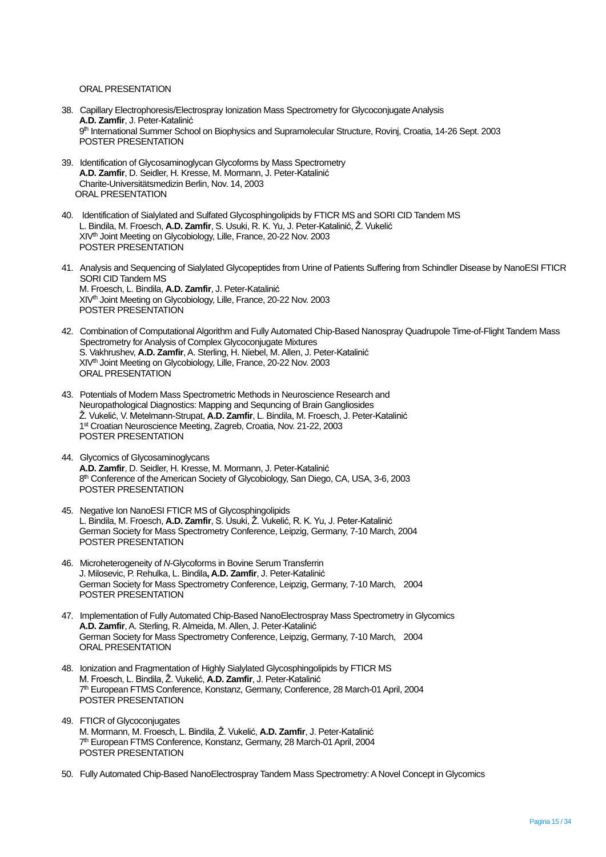### ORAL PRESENTATION

- 38. Capillary Electrophoresis/Electrospray Ionization Mass Spectrometry for Glycoconjugate Analysis **A.D. Zamfir**, J. Peter-Katalinić 9 th International Summer School on Biophysics and Supramolecular Structure, Rovinj, Croatia, 14-26 Sept. 2003 POSTER PRESENTATION
- 39. Identification of Glycosaminoglycan Glycoforms by Mass Spectrometry **A.D. Zamfir**, D. Seidler, H. Kresse, M. Mormann, J. Peter-Katalinić Charite-Universitätsmedizin Berlin, Nov. 14, 2003 ORAL PRESENTATION
- 40. Identification of Sialylated and Sulfated Glycosphingolipids by FTICR MS and SORI CID Tandem MS L. Bindila, M. Froesch, **A.D. Zamfir**, S. Usuki, R. K. Yu, J. Peter-Katalinić, Ž. Vukelić XIV<sup>th</sup> Joint Meeting on Glycobiology, Lille, France, 20-22 Nov. 2003 POSTER PRESENTATION
- 41. Analysis and Sequencing of Sialylated Glycopeptides from Urine of Patients Suffering from Schindler Disease by NanoESI FTICR SORI CID Tandem MS M. Froesch, L. Bindila, **A.D. Zamfir**, J. Peter-Katalinić XIV<sup>th</sup> Joint Meeting on Glycobiology, Lille, France, 20-22 Nov. 2003 POSTER PRESENTATION
- 42. Combination of Computational Algorithm and Fully Automated Chip-Based Nanospray Quadrupole Time-of-Flight Tandem Mass Spectrometry for Analysis of Complex Glycoconjugate Mixtures S. Vakhrushev, **A.D. Zamfir**, A. Sterling, H. Niebel, M. Allen, J. Peter-Katalinić XIV<sup>th</sup> Joint Meeting on Glycobiology, Lille, France, 20-22 Nov. 2003 ORAL PRESENTATION
- 43. Potentials of Modern Mass Spectrometric Methods in Neuroscience Research and Neuropathological Diagnostics: Mapping and Sequncing of Brain Gangliosides Ž. Vukelić, V. Metelmann-Strupat, **A.D. Zamfir**, L. Bindila, M. Froesch, J. Peter-Katalinić 1 st Croatian Neuroscience Meeting, Zagreb, Croatia, Nov. 21-22, 2003 POSTER PRESENTATION
- 44. Glycomics of Glycosaminoglycans **A.D. Zamfir**, D. Seidler, H. Kresse, M. Mormann, J. Peter-Katalinić 8<sup>th</sup> Conference of the American Society of Glycobiology, San Diego, CA, USA, 3-6, 2003 POSTER PRESENTATION
- 45. Negative Ion NanoESI FTICR MS of Glycosphingolipids L. Bindila, M. Froesch, **A.D. Zamfir**, S. Usuki, Ž. Vukelić, R. K. Yu, J. Peter-Katalinić German Society for Mass Spectrometry Conference, Leipzig, Germany, 7-10 March, 2004 POSTER PRESENTATION
- 46. Microheterogeneity of *N*-Glycoforms in Bovine Serum Transferrin J. Milosevic, P. Rehulka, L. Bindila**, A.D. Zamfir**, J. Peter-Katalinić German Society for Mass Spectrometry Conference, Leipzig, Germany, 7-10 March, 2004 POSTER PRESENTATION
- 47. Implementation of Fully Automated Chip-Based NanoElectrospray Mass Spectrometry in Glycomics **A.D. Zamfir**, A. Sterling, R. Almeida, M. Allen, J. Peter-Katalinić German Society for Mass Spectrometry Conference, Leipzig, Germany, 7-10 March, 2004 ORAL PRESENTATION
- 48. Ionization and Fragmentation of Highly Sialylated Glycosphingolipids by FTICR MS M. Froesch, L. Bindila, Ž. Vukelić, **A.D. Zamfir**, J. Peter-Katalinić 7<sup>th</sup> European FTMS Conference, Konstanz, Germany, Conference, 28 March-01 April, 2004 POSTER PRESENTATION
- 49. FTICR of Glycoconjugates M. Mormann, M. Froesch, L. Bindila, Ž. Vukelić, **A.D. Zamfir**, J. Peter-Katalinić 7<sup>th</sup> European FTMS Conference, Konstanz, Germany, 28 March-01 April, 2004 POSTER PRESENTATION
- 50. Fully Automated Chip-Based NanoElectrospray Tandem Mass Spectrometry: A Novel Concept in Glycomics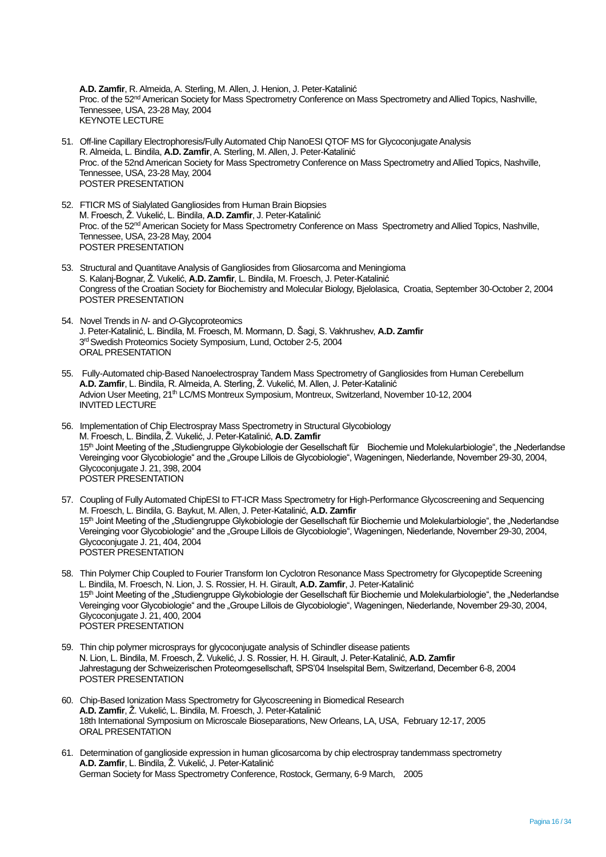**A.D. Zamfir**, R. Almeida, A. Sterling, M. Allen, J. Henion, J. Peter-Katalinić Proc. of the 52<sup>nd</sup> American Society for Mass Spectrometry Conference on Mass Spectrometry and Allied Topics, Nashville, Tennessee, USA, 23-28 May, 2004 KEYNOTE LECTURE

- 51. Off-line Capillary Electrophoresis/Fully Automated Chip NanoESI QTOF MS for Glycoconjugate Analysis R. Almeida, L. Bindila, **A.D. Zamfir**, A. Sterling, M. Allen, J. Peter-Katalinić Proc. of the 52nd American Society for Mass Spectrometry Conference on Mass Spectrometry and Allied Topics, Nashville, Tennessee, USA, 23-28 May, 2004 POSTER PRESENTATION
- 52. FTICR MS of Sialylated Gangliosides from Human Brain Biopsies M. Froesch, Ž. Vukelić, L. Bindila, **A.D. Zamfir**, J. Peter-Katalinić Proc. of the 52<sup>nd</sup> American Society for Mass Spectrometry Conference on Mass Spectrometry and Allied Topics, Nashville, Tennessee, USA, 23-28 May, 2004 POSTER PRESENTATION
- 53. Structural and Quantitave Analysis of Gangliosides from Gliosarcoma and Meningioma S. Kalanj-Bognar, Ž. Vukelić, **A.D. Zamfir**, L. Bindila, M. Froesch, J. Peter-Katalinić Congress of the Croatian Society for Biochemistry and Molecular Biology, Bjelolasica, Croatia, September 30-October 2, 2004 POSTER PRESENTATION
- 54. Novel Trends in *N* and *O*-Glycoproteomics J. Peter-Katalinić, L. Bindila, M. Froesch, M. Mormann, D. Šagi, S. Vakhrushev, **A.D. Zamfir** 3<sup>rd</sup> Swedish Proteomics Society Symposium, Lund, October 2-5, 2004 ORAL PRESENTATION
- 55. Fully-Automated chip-Based Nanoelectrospray Tandem Mass Spectrometry of Gangliosides from Human Cerebellum **A.D. Zamfir**, L. Bindila, R. Almeida, A. Sterling, Ž. Vukelić, M. Allen, J. Peter-Katalinić Advion User Meeting, 21th LC/MS Montreux Symposium, Montreux, Switzerland, November 10-12, 2004 INVITED LECTURE
- 56. Implementation of Chip Electrospray Mass Spectrometry in Structural Glycobiology M. Froesch, L. Bindila, Ž. Vukelić, J. Peter-Katalinić, **A.D. Zamfir** 15<sup>th</sup> Joint Meeting of the "Studiengruppe Glykobiologie der Gesellschaft für Biochemie und Molekularbiologie", the "Nederlandse Vereinging voor Glycobiologie" and the "Groupe Lillois de Glycobiologie", Wageningen, Niederlande, November 29-30, 2004, Glycoconjugate J. 21, 398, 2004 POSTER PRESENTATION
- 57. Coupling of Fully Automated ChipESI to FT-ICR Mass Spectrometry for High-Performance Glycoscreening and Sequencing M. Froesch, L. Bindila, G. Baykut, M. Allen, J. Peter-Katalinić, **A.D. Zamfir** 15<sup>th</sup> Joint Meeting of the "Studiengruppe Glykobiologie der Gesellschaft für Biochemie und Molekularbiologie", the "Nederlandse Vereinging voor Glycobiologie" and the "Groupe Lillois de Glycobiologie", Wageningen, Niederlande, November 29-30, 2004, Glycoconjugate J. 21, 404, 2004 POSTER PRESENTATION
- 58. Thin Polymer Chip Coupled to Fourier Transform Ion Cyclotron Resonance Mass Spectrometry for Glycopeptide Screening L. Bindila, M. Froesch, N. Lion, J. S. Rossier, H. H. Girault, **A.D. Zamfir**, J. Peter-Katalinić 15<sup>th</sup> Joint Meeting of the "Studiengruppe Glykobiologie der Gesellschaft für Biochemie und Molekularbiologie", the "Nederlandse Vereinging voor Glycobiologie" and the "Groupe Lillois de Glycobiologie", Wageningen, Niederlande, November 29-30, 2004, Glycoconjugate J. 21, 400, 2004 POSTER PRESENTATION
- 59. Thin chip polymer microsprays for glycoconjugate analysis of Schindler disease patients N. Lion, L. Bindila, M. Froesch, Ž. Vukelić, J. S. Rossier, H. H. Girault, J. Peter-Katalinić, **A.D. Zamfir** Jahrestagung der Schweizerischen Proteomgesellschaft, SPS'04 Inselspital Bern, Switzerland, December 6-8, 2004 POSTER PRESENTATION
- 60. Chip-Based Ionization Mass Spectrometry for Glycoscreening in Biomedical Research **A.D. Zamfir**, Ž. Vukelić, L. Bindila, M. Froesch, J. Peter-Katalinić 18th International Symposium on Microscale Bioseparations, New Orleans, LA, USA, February 12-17, 2005 ORAL PRESENTATION
- 61. Determination of ganglioside expression in human glicosarcoma by chip electrospray tandemmass spectrometry **A.D. Zamfir**, L. Bindila, Ž. Vukelić, J. Peter-Katalinić German Society for Mass Spectrometry Conference, Rostock, Germany, 6-9 March, 2005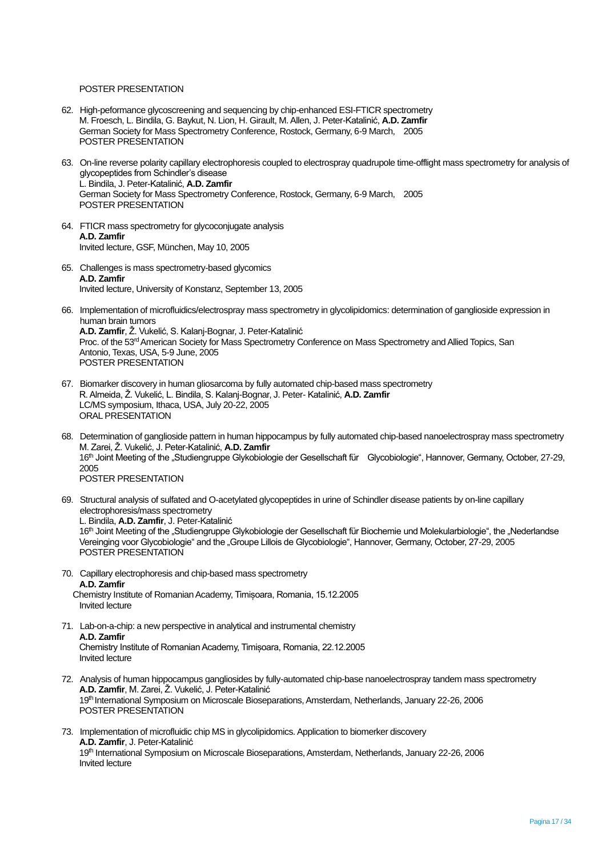### POSTER PRESENTATION

- 62. High-peformance glycoscreening and sequencing by chip-enhanced ESI-FTICR spectrometry M. Froesch, L. Bindila, G. Baykut, N. Lion, H. Girault, M. Allen, J. Peter-Katalinić, **A.D. Zamfir** German Society for Mass Spectrometry Conference, Rostock, Germany, 6-9 March, 2005 POSTER PRESENTATION
- 63. On-line reverse polarity capillary electrophoresis coupled to electrospray quadrupole time-offlight mass spectrometry for analysis of glycopeptides from Schindler's disease L. Bindila, J. Peter-Katalinić, **A.D. Zamfir** German Society for Mass Spectrometry Conference, Rostock, Germany, 6-9 March, 2005 POSTER PRESENTATION
- 64. FTICR mass spectrometry for glycoconjugate analysis **A.D. Zamfir** Invited lecture, GSF, München, May 10, 2005
- 65. Challenges is mass spectrometry-based glycomics **A.D. Zamfir** Invited lecture, University of Konstanz, September 13, 2005
- 66. Implementation of microfluidics/electrospray mass spectrometry in glycolipidomics: determination of ganglioside expression in human brain tumors **A.D. Zamfir**, Ž. Vukelić, S. Kalanj-Bognar, J. Peter-Katalinić Proc. of the 53<sup>rd</sup> American Society for Mass Spectrometry Conference on Mass Spectrometry and Allied Topics, San Antonio, Texas, USA, 5-9 June, 2005 POSTER PRESENTATION
- 67. Biomarker discovery in human gliosarcoma by fully automated chip-based mass spectrometry R. Almeida, Ž. Vukelić, L. Bindila, S. Kalanj-Bognar, J. Peter- Katalinić, **A.D. Zamfir** LC/MS symposium, Ithaca, USA, July 20-22, 2005 ORAL PRESENTATION
- 68. Determination of ganglioside pattern in human hippocampus by fully automated chip-based nanoelectrospray mass spectrometry M. Zarei, Ž. Vukelić, J. Peter-Katalinić, **A.D. Zamfir** 16<sup>th</sup> Joint Meeting of the "Studiengruppe Glykobiologie der Gesellschaft für Glycobiologie", Hannover, Germany, October, 27-29, 2005 POSTER PRESENTATION
- 69. Structural analysis of sulfated and O-acetylated glycopeptides in urine of Schindler disease patients by on-line capillary electrophoresis/mass spectrometry L. Bindila, **A.D. Zamfir**, J. Peter-Katalinić 16<sup>th</sup> Joint Meeting of the "Studiengruppe Glykobiologie der Gesellschaft für Biochemie und Molekularbiologie", the "Nederlandse Vereinging voor Glycobiologie" and the "Groupe Lillois de Glycobiologie", Hannover, Germany, October, 27-29, 2005 POSTER PRESENTATION
- 70. Capillary electrophoresis and chip-based mass spectrometry **A.D. Zamfir** Chemistry Institute of Romanian Academy, Timișoara, Romania, 15.12.2005 Invited lecture
- 71. Lab-on-a-chip: a new perspective in analytical and instrumental chemistry **A.D. Zamfir** Chemistry Institute of Romanian Academy, Timișoara, Romania, 22.12.2005 Invited lecture
- 72. Analysis of human hippocampus gangliosides by fully-automated chip-base nanoelectrospray tandem mass spectrometry **A.D. Zamfir**, M. Zarei, Ž. Vukelić, J. Peter-Katalinić 19th International Symposium on Microscale Bioseparations, Amsterdam, Netherlands, January 22-26, 2006 POSTER PRESENTATION
- 73. Implementation of microfluidic chip MS in glycolipidomics. Application to biomerker discovery **A.D. Zamfir**, J. Peter-Katalinić 19th International Symposium on Microscale Bioseparations, Amsterdam, Netherlands, January 22-26, 2006 Invited lecture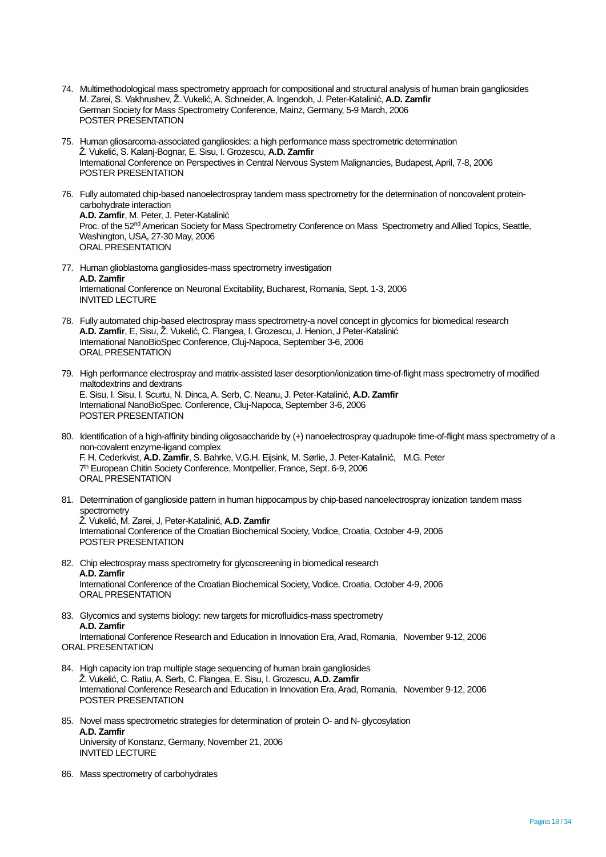- 74. Multimethodological mass spectrometry approach for compositional and structural analysis of human brain gangliosides M. Zarei, S. Vakhrushev, Ž. Vukelić, A. Schneider, A. Ingendoh, J. Peter-Katalinić, **A.D. Zamfir** German Society for Mass Spectrometry Conference, Mainz, Germany, 5-9 March, 2006 POSTER PRESENTATION
- 75. Human gliosarcoma-associated gangliosides: a high performance mass spectrometric determination Ž. Vukelić, S. Kalanj-Bognar, E. Sisu, I. Grozescu, **A.D. Zamfir** International Conference on Perspectives in Central Nervous System Malignancies, Budapest, April, 7-8, 2006 POSTER PRESENTATION
- 76. Fully automated chip-based nanoelectrospray tandem mass spectrometry for the determination of noncovalent proteincarbohydrate interaction **A.D. Zamfir**, M. Peter, J. Peter-Katalinić Proc. of the 52<sup>nd</sup> American Society for Mass Spectrometry Conference on Mass Spectrometry and Allied Topics, Seattle, Washington, USA, 27-30 May, 2006 ORAL PRESENTATION
- 77. Human glioblastoma gangliosides-mass spectrometry investigation **A.D. Zamfir** International Conference on Neuronal Excitability, Bucharest, Romania, Sept. 1-3, 2006 INVITED LECTURE
- 78. Fully automated chip-based electrospray mass spectrometry-a novel concept in glycomics for biomedical research **A.D. Zamfir**, E, Sisu, Ž. Vukelić, C. Flangea, I. Grozescu, J. Henion, J Peter-Katalinić International NanoBioSpec Conference, Cluj-Napoca, September 3-6, 2006 ORAL PRESENTATION
- 79. High performance electrospray and matrix-assisted laser desorption/ionization time-of-flight mass spectrometry of modified maltodextrins and dextrans E. Sisu, I. Sisu, I. Scurtu, N. Dinca, A. Serb, C. Neanu, J. Peter-Katalinić, **A.D. Zamfir** International NanoBioSpec. Conference, Cluj-Napoca, September 3-6, 2006 POSTER PRESENTATION
- 80. Identification of a high-affinity binding oligosaccharide by (+) nanoelectrospray quadrupole time-of-flight mass spectrometry of a non-covalent enzyme-ligand complex F. H. Cederkvist, **A.D. Zamfir**, S. Bahrke, V.G.H. Eijsink, M. Sørlie, J. Peter-Katalinić, M.G. Peter 7<sup>th</sup> European Chitin Society Conference, Montpellier, France, Sept. 6-9, 2006 ORAL PRESENTATION
- 81. Determination of ganglioside pattern in human hippocampus by chip-based nanoelectrospray ionization tandem mass spectrometry Ž. Vukelić, M. Zarei, J, Peter-Katalinić, **A.D. Zamfir** International Conference of the Croatian Biochemical Society, Vodice, Croatia, October 4-9, 2006 POSTER PRESENTATION
- 82. Chip electrospray mass spectrometry for glycoscreening in biomedical research **A.D. Zamfir** International Conference of the Croatian Biochemical Society, Vodice, Croatia, October 4-9, 2006 ORAL PRESENTATION
- 83. Glycomics and systems biology: new targets for microfluidics-mass spectrometry **A.D. Zamfir** International Conference Research and Education in Innovation Era, Arad, Romania, November 9-12, 2006 ORAL PRESENTATION
- 84. High capacity ion trap multiple stage sequencing of human brain gangliosides Ž. Vukelić, C. Ratiu, A. Serb, C. Flangea, E. Sisu, I. Grozescu, **A.D. Zamfir** International Conference Research and Education in Innovation Era, Arad, Romania, November 9-12, 2006 POSTER PRESENTATION
- 85. Novel mass spectrometric strategies for determination of protein O- and N- glycosylation **A.D. Zamfir** University of Konstanz, Germany, November 21, 2006 INVITED LECTURE
- 86. Mass spectrometry of carbohydrates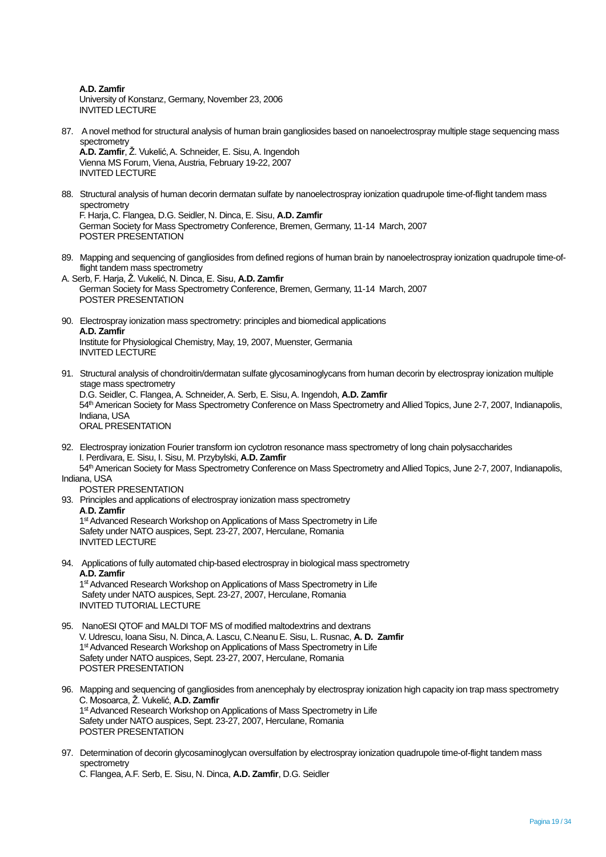**A.D. Zamfir** University of Konstanz, Germany, November 23, 2006 INVITED LECTURE

87. A novel method for structural analysis of human brain gangliosides based on nanoelectrospray multiple stage sequencing mass spectrometry

**A.D. Zamfir**, Ž. Vukelić,A. Schneider, E. Sisu, A. Ingendoh Vienna MS Forum, Viena, Austria, February 19-22, 2007 INVITED LECTURE

- 88. Structural analysis of human decorin dermatan sulfate by nanoelectrospray ionization quadrupole time-of-flight tandem mass spectrometry F. Harja,C. Flangea, D.G. Seidler, N. Dinca, E. Sisu, **A.D. Zamfir** German Society for Mass Spectrometry Conference, Bremen, Germany, 11-14 March, 2007 POSTER PRESENTATION
- 89. Mapping and sequencing of gangliosides from defined regions of human brain by nanoelectrospray ionization quadrupole time-offlight tandem mass spectrometry
- A. Serb, F. Harja, Ž. Vukelić, N. Dinca, E. Sisu, **A.D. Zamfir** German Society for Mass Spectrometry Conference, Bremen, Germany, 11-14 March, 2007 POSTER PRESENTATION
- 90. Electrospray ionization mass spectrometry: principles and biomedical applications **A.D. Zamfir** Institute for Physiological Chemistry, May, 19, 2007, Muenster, Germania INVITED LECTURE
- 91. Structural analysis of chondroitin/dermatan sulfate glycosaminoglycans from human decorin by electrospray ionization multiple stage mass spectrometry D.G. Seidler, C. Flangea, A. Schneider, A. Serb, E. Sisu, A. Ingendoh, **A.D. Zamfir** 54<sup>th</sup> American Society for Mass Spectrometry Conference on Mass Spectrometry and Allied Topics, June 2-7, 2007, Indianapolis, Indiana, USA ORAL PRESENTATION
- 92. Electrospray ionization Fourier transform ion cyclotron resonance mass spectrometry of long chain polysaccharides I. Perdivara, E. Sisu, I. Sisu, M. Przybylski, **A.D. Zamfir**

54th American Society for Mass Spectrometry Conference on Mass Spectrometry and Allied Topics, June 2-7, 2007, Indianapolis, Indiana, USA

- POSTER PRESENTATION
- 93. Principles and applications of electrospray ionization mass spectrometry **A**.**D. Zamfir**  1<sup>st</sup> Advanced Research Workshop on Applications of Mass Spectrometry in Life

 Safety under NATO auspices, Sept. 23-27, 2007, Herculane, Romania INVITED LECTURE

94. Applications of fully automated chip-based electrospray in biological mass spectrometry **A.D. Zamfir**  1<sup>st</sup> Advanced Research Workshop on Applications of Mass Spectrometry in Life

 Safety under NATO auspices, Sept. 23-27, 2007, Herculane, Romania INVITED TUTORIAL LECTURE

- 95. NanoESI QTOF and MALDI TOF MS of modified maltodextrins and dextrans V. Udrescu, Ioana Sisu, N. Dinca,A. Lascu, C.NeanuE. Sisu, L. Rusnac, **A. D. Zamfir** 1<sup>st</sup> Advanced Research Workshop on Applications of Mass Spectrometry in Life Safety under NATO auspices, Sept. 23-27, 2007, Herculane, Romania POSTER PRESENTATION
- 96. Mapping and sequencing of gangliosides from anencephaly by electrospray ionization high capacity ion trap mass spectrometry C. Mosoarca, Ž. Vukelić, **A.D. Zamfir** 1<sup>st</sup> Advanced Research Workshop on Applications of Mass Spectrometry in Life Safety under NATO auspices, Sept. 23-27, 2007, Herculane, Romania POSTER PRESENTATION
- 97. Determination of decorin glycosaminoglycan oversulfation by electrospray ionization quadrupole time-of-flight tandem mass spectrometry

C. Flangea, A.F. Serb, E. Sisu, N. Dinca, **A.D. Zamfir**, D.G. Seidler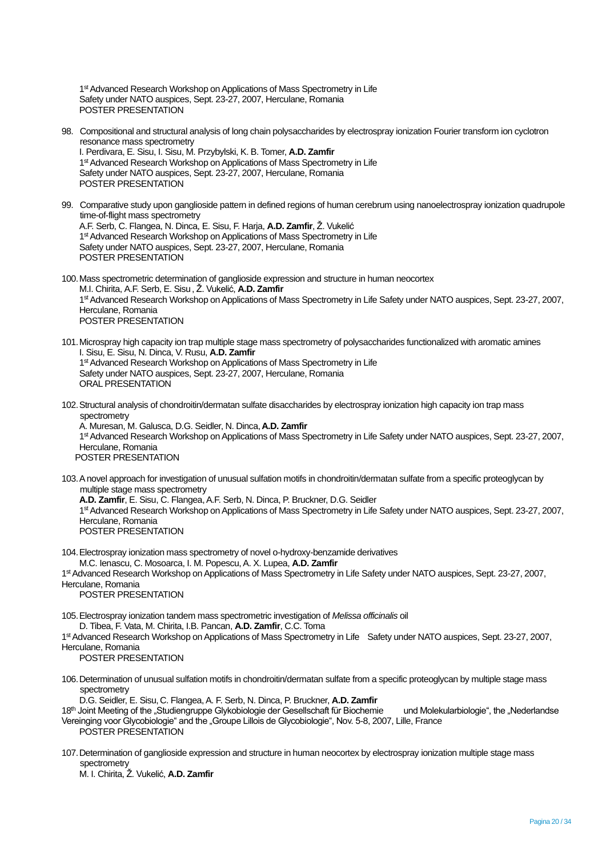1<sup>st</sup> Advanced Research Workshop on Applications of Mass Spectrometry in Life Safety under NATO auspices, Sept. 23-27, 2007, Herculane, Romania POSTER PRESENTATION

98. Compositional and structural analysis of long chain polysaccharides by electrospray ionization Fourier transform ion cyclotron resonance mass spectrometry I. Perdivara, E. Sisu, I. Sisu, M. Przybylski, K. B. Tomer, **A.D. Zamfir** 1<sup>st</sup> Advanced Research Workshop on Applications of Mass Spectrometry in Life Safety under NATO auspices, Sept. 23-27, 2007, Herculane, Romania

99. Comparative study upon ganglioside pattern in defined regions of human cerebrum using nanoelectrospray ionization quadrupole time-of-flight mass spectrometry A.F. Serb, C. Flangea, N. Dinca, E. Sisu, F. Harja, **A.D. Zamfir**, Ž. Vukelić 1<sup>st</sup> Advanced Research Workshop on Applications of Mass Spectrometry in Life Safety under NATO auspices, Sept. 23-27, 2007, Herculane, Romania POSTER PRESENTATION

- 100.Mass spectrometric determination of ganglioside expression and structure in human neocortex M.I. Chirita, A.F. Serb, E. Sisu, Ž. Vukelić, **A.D. Zamfir** 1<sup>st</sup> Advanced Research Workshop on Applications of Mass Spectrometry in Life Safety under NATO auspices, Sept. 23-27, 2007, Herculane, Romania POSTER PRESENTATION
- 101.Microspray high capacity ion trap multiple stage mass spectrometry of polysaccharides functionalized with aromatic amines I. Sisu, E. Sisu, N. Dinca, V. Rusu, **A.D. Zamfir** 1<sup>st</sup> Advanced Research Workshop on Applications of Mass Spectrometry in Life Safety under NATO auspices, Sept. 23-27, 2007, Herculane, Romania ORAL PRESENTATION
- 102.Structural analysis of chondroitin/dermatan sulfate disaccharides by electrospray ionization high capacity ion trap mass spectrometry A. Muresan, M. Galusca, D.G. Seidler, N. Dinca,**A.D. Zamfir** 1<sup>st</sup> Advanced Research Workshop on Applications of Mass Spectrometry in Life Safety under NATO auspices, Sept. 23-27, 2007, Herculane, Romania

POSTER PRESENTATION

POSTER PRESENTATION

- 103.A novel approach for investigation of unusual sulfation motifs in chondroitin/dermatan sulfate from a specific proteoglycan by multiple stage mass spectrometry **A.D. Zamfir**, E. Sisu, C. Flangea, A.F. Serb, N. Dinca, P. Bruckner, D.G. Seidler 1<sup>st</sup> Advanced Research Workshop on Applications of Mass Spectrometry in Life Safety under NATO auspices, Sept. 23-27, 2007, Herculane, Romania POSTER PRESENTATION
- 104.Electrospray ionization mass spectrometry of novel o-hydroxy-benzamide derivatives M.C. Ienascu, C. Mosoarca, I. M. Popescu, A. X. Lupea, **A.D. Zamfir**

1<sup>st</sup> Advanced Research Workshop on Applications of Mass Spectrometry in Life Safety under NATO auspices, Sept. 23-27, 2007, Herculane, Romania

POSTER PRESENTATION

- 105.Electrospray ionization tandem mass spectrometric investigation of *Melissa officinalis* oil D. Tibea, F. Vata, M. Chirita, I.B. Pancan, **A.D. Zamfir**, C.C. Toma
- 1<sup>st</sup> Advanced Research Workshop on Applications of Mass Spectrometry in Life Safety under NATO auspices, Sept. 23-27, 2007, Herculane, Romania

POSTER PRESENTATION

106.Determination of unusual sulfation motifs in chondroitin/dermatan sulfate from a specific proteoglycan by multiple stage mass spectrometry

D.G. Seidler, E. Sisu,C. Flangea, A. F. Serb, N. Dinca, P. Bruckner, **A.D. Zamfir**

- 18<sup>th</sup> Joint Meeting of the "Studiengruppe Glykobiologie der Gesellschaft für Biochemie und Molekularbiologie", the "Nederlandse Vereinging voor Glycobiologie" and the "Groupe Lillois de Glycobiologie", Nov. 5-8, 2007, Lille, France POSTER PRESENTATION
- 107.Determination of ganglioside expression and structure in human neocortex by electrospray ionization multiple stage mass spectrometry

M. I. Chirita, Ž. Vukelić, **A.D. Zamfir**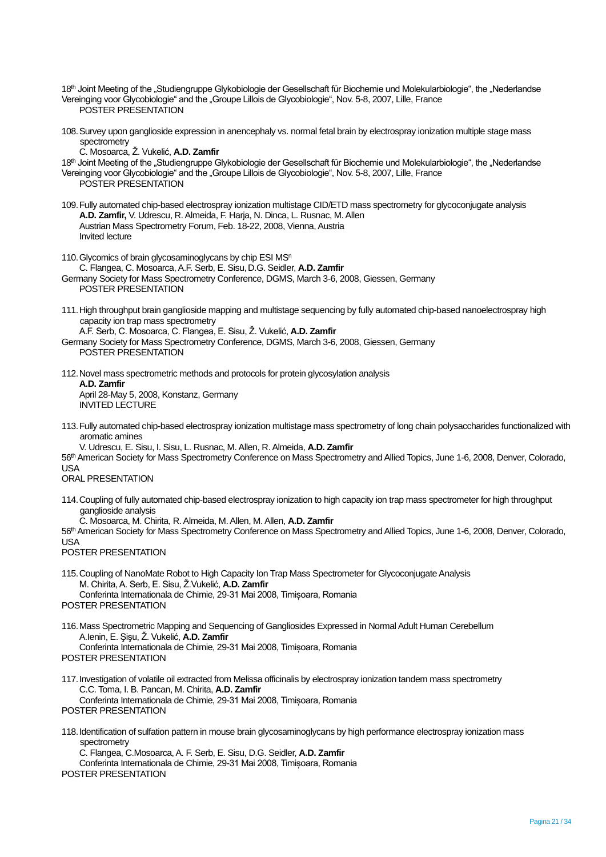- 18<sup>th</sup> Joint Meeting of the "Studiengruppe Glykobiologie der Gesellschaft für Biochemie und Molekularbiologie", the "Nederlandse Vereinging voor Glycobiologie" and the "Groupe Lillois de Glycobiologie", Nov. 5-8, 2007, Lille, France POSTER PRESENTATION
- 108.Survey upon ganglioside expression in anencephaly vs. normal fetal brain by electrospray ionization multiple stage mass spectrometry

C. Mosoarca, Ž. Vukelić, **A.D. Zamfir**

- 18<sup>th</sup> Joint Meeting of the "Studiengruppe Glykobiologie der Gesellschaft für Biochemie und Molekularbiologie", the "Nederlandse
- Vereinging voor Glycobiologie" and the "Groupe Lillois de Glycobiologie", Nov. 5-8, 2007, Lille, France POSTER PRESENTATION
- 109.Fully automated chip-based electrospray ionization multistage CID/ETD mass spectrometry for glycoconjugate analysis **A.D. Zamfir,** V. Udrescu, R. Almeida, F. Harja, N. Dinca, L. Rusnac, M. Allen Austrian Mass Spectrometry Forum, Feb. 18-22, 2008, Vienna, Austria Invited lecture
- 110. Glycomics of brain glycosaminoglycans by chip ESI MS<sup>n</sup> C. Flangea, C. Mosoarca, A.F. Serb, E. Sisu,D.G. Seidler, **A.D. Zamfir** Germany Society for Mass Spectrometry Conference, DGMS, March 3-6, 2008, Giessen, Germany POSTER PRESENTATION
- 111.High throughput brain ganglioside mapping and multistage sequencing by fully automated chip-based nanoelectrospray high capacity ion trap mass spectrometry

A.F. Serb, C. Mosoarca, C. Flangea, E. Sisu, Ž. Vukelić, **A.D. Zamfir** Germany Society for Mass Spectrometry Conference, DGMS, March 3-6, 2008, Giessen, Germany POSTER PRESENTATION

- 112.Novel mass spectrometric methods and protocols for protein glycosylation analysis **A.D. Zamfir** April 28-May 5, 2008, Konstanz, Germany INVITED LECTURE
- 113.Fully automated chip-based electrospray ionization multistage mass spectrometry of long chain polysaccharides functionalized with aromatic amines

V. Udrescu, E. Sisu, I. Sisu, L. Rusnac, M. Allen, R. Almeida, **A.D. Zamfir** 56<sup>th</sup> American Society for Mass Spectrometry Conference on Mass Spectrometry and Allied Topics, June 1-6, 2008, Denver, Colorado, USA

ORAL PRESENTATION

114.Coupling of fully automated chip-based electrospray ionization to high capacity ion trap mass spectrometer for high throughput ganglioside analysis

C. Mosoarca, M. Chirita, R. Almeida, M. Allen, M. Allen, **A.D. Zamfir**

56<sup>th</sup> American Society for Mass Spectrometry Conference on Mass Spectrometry and Allied Topics, June 1-6, 2008, Denver, Colorado,  $IISA$ 

POSTER PRESENTATION

115.Coupling of NanoMate Robot to High Capacity Ion Trap Mass Spectrometer for Glycoconjugate Analysis M. Chirita, A. Serb, E. Sisu, Ž.Vukelić, **A.D. Zamfir** Conferinta Internationala de Chimie, 29-31 Mai 2008, Timișoara, Romania

POSTER PRESENTATION

- 116.Mass Spectrometric Mapping and Sequencing of Gangliosides Expressed in Normal Adult Human Cerebellum A.Ienin, E. Şişu, Ž. Vukelić, **A.D. Zamfir** Conferinta Internationala de Chimie, 29-31 Mai 2008, Timișoara, Romania
- POSTER PRESENTATION
- 117.Investigation of volatile oil extracted from Melissa officinalis by electrospray ionization tandem mass spectrometry C.C. Toma, I. B. Pancan, M. Chirita, **A.D. Zamfir** Conferinta Internationala de Chimie, 29-31 Mai 2008, Timișoara, Romania POSTER PRESENTATION
- 118.Identification of sulfation pattern in mouse brain glycosaminoglycans by high performance electrospray ionization mass spectrometry

C. Flangea, C.Mosoarca, A. F. Serb, E. Sisu, D.G. Seidler, **A.D. Zamfir** Conferinta Internationala de Chimie, 29-31 Mai 2008, Timișoara, Romania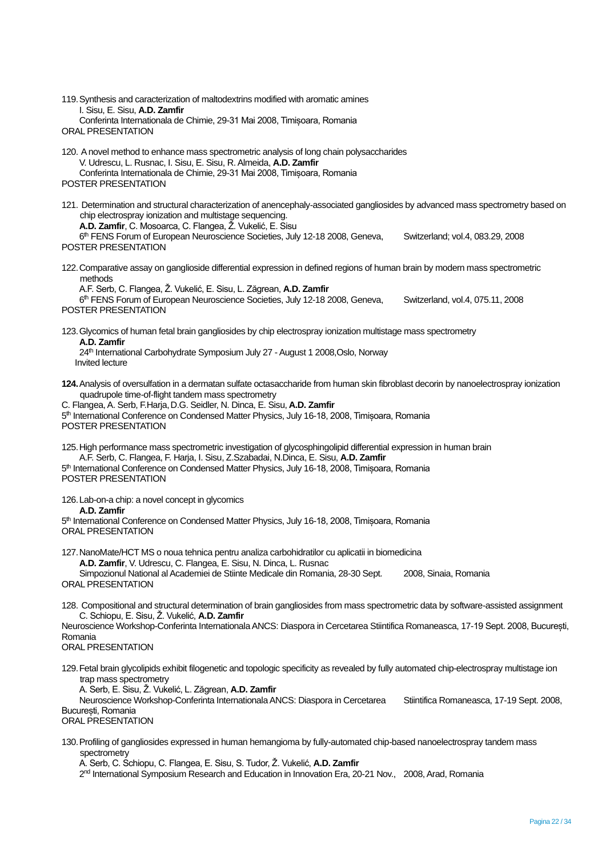119.Synthesis and caracterization of maltodextrins modified with aromatic amines I. Sisu, E. Sisu, **A.D. Zamfir** Conferinta Internationala de Chimie, 29-31 Mai 2008, Timișoara, Romania ORAL PRESENTATION

- 120. A novel method to enhance mass spectrometric analysis of long chain polysaccharides V. Udrescu, L. Rusnac, I. Sisu, E. Sisu, R. Almeida, **A.D. Zamfir** Conferinta Internationala de Chimie, 29-31 Mai 2008, Timișoara, Romania POSTER PRESENTATION
- 121. Determination and structural characterization of anencephaly-associated gangliosides by advanced mass spectrometry based on chip electrospray ionization and multistage sequencing.

**A.D. Zamfir**, C. Mosoarca, C. Flangea, Ž. Vukelić, E. Sisu

6<sup>th</sup> FENS Forum of European Neuroscience Societies, July 12-18 2008, Geneva, Switzerland; vol.4, 083.29, 2008 POSTER PRESENTATION

122.Comparative assay on ganglioside differential expression in defined regions of human brain by modern mass spectrometric methods

A.F. Serb, C. Flangea, Ž. Vukelić, E. Sisu, L. Zăgrean, **A.D. Zamfir** 6<sup>th</sup> FENS Forum of European Neuroscience Societies, July 12-18 2008, Geneva, Switzerland, vol.4, 075.11, 2008 POSTER PRESENTATION

123.Glycomics of human fetal brain gangliosides by chip electrospray ionization multistage mass spectrometry **A.D. Zamfir**

24<sup>th</sup> International Carbohydrate Symposium July 27 - August 1 2008, Oslo, Norway Invited lecture

**124.**Analysis of oversulfation in a dermatan sulfate octasaccharide from human skin fibroblast decorin by nanoelectrospray ionization quadrupole time-of-flight tandem mass spectrometry

C. Flangea, A. Serb, F.Harja,D.G. Seidler, N. Dinca, E. Sisu, **A.D. Zamfir** 5<sup>th</sup> International Conference on Condensed Matter Physics, July 16-18, 2008, Timișoara, Romania POSTER PRESENTATION

125.High performance mass spectrometric investigation of glycosphingolipid differential expression in human brain A.F. Serb, C. Flangea, F. Harja, I. Sisu, Z.Szabadai, N.Dinca, E. Sisu, **A.D. Zamfir**

5<sup>th</sup> International Conference on Condensed Matter Physics, July 16-18, 2008, Timișoara, Romania POSTER PRESENTATION

126.Lab-on-a chip: a novel concept in glycomics

**A.D. Zamfir**

5<sup>th</sup> International Conference on Condensed Matter Physics, July 16-18, 2008, Timișoara, Romania ORAL PRESENTATION

127.NanoMate/HCT MS o noua tehnica pentru analiza carbohidratilor cu aplicatii in biomedicina **A.D. Zamfir**, V. Udrescu, C. Flangea, E. Sisu, N. Dinca, L. Rusnac

Simpozionul National al Academiei de Stiinte Medicale din Romania, 28-30 Sept. 2008, Sinaia, Romania ORAL PRESENTATION

128. Compositional and structural determination of brain gangliosides from mass spectrometric data by software-assisted assignment C. Schiopu, E. Sisu, Ž. Vukelić, **A.D. Zamfir**

Neuroscience Workshop-Conferinta Internationala ANCS: Diaspora in Cercetarea Stiintifica Romaneasca, 17-19 Sept. 2008, București, Romania

ORAL PRESENTATION

129.Fetal brain glycolipids exhibit filogenetic and topologic specificity as revealed by fully automated chip-electrospray multistage ion trap mass spectrometry

A. Serb, E. Sisu, Ž. Vukelić, L. Zăgrean, **A.D. Zamfir**

Neuroscience Workshop-Conferinta Internationala ANCS: Diaspora in Cercetarea Stiintifica Romaneasca, 17-19 Sept. 2008, București, Romania

ORAL PRESENTATION

130.Profiling of gangliosides expressed in human hemangioma by fully-automated chip-based nanoelectrospray tandem mass spectrometry

A. Serb, C. Schiopu, C. Flangea, E. Sisu, S. Tudor, Ž. Vukelić, **A.D. Zamfir**

2<sup>nd</sup> International Symposium Research and Education in Innovation Era, 20-21 Nov., 2008, Arad, Romania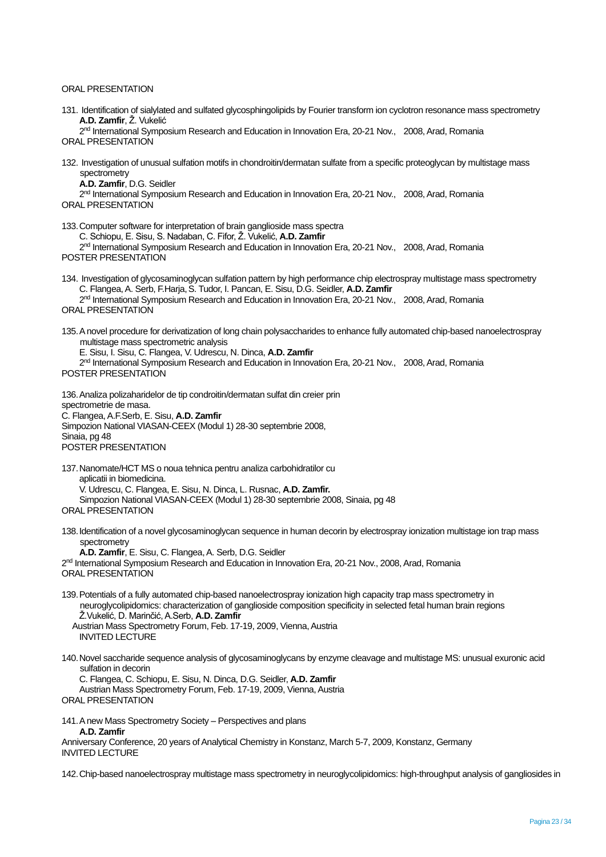#### ORAL PRESENTATION

131. Identification of sialylated and sulfated glycosphingolipids by Fourier transform ion cyclotron resonance mass spectrometry **A.D. Zamfir**, Ž. Vukelić

2<sup>nd</sup> International Symposium Research and Education in Innovation Era, 20-21 Nov., 2008, Arad, Romania ORAL PRESENTATION

- 132. Investigation of unusual sulfation motifs in chondroitin/dermatan sulfate from a specific proteoglycan by multistage mass spectrometry
	- **A.D. Zamfir**, D.G. Seidler

2<sup>nd</sup> International Symposium Research and Education in Innovation Era, 20-21 Nov., 2008, Arad, Romania ORAL PRESENTATION

133.Computer software for interpretation of brain ganglioside mass spectra C. Schiopu, E. Sisu, S. Nadaban, C. Fifor, Ž. Vukelić, **A.D. Zamfir**

2<sup>nd</sup> International Symposium Research and Education in Innovation Era, 20-21 Nov., 2008, Arad, Romania POSTER PRESENTATION

134. Investigation of glycosaminoglycan sulfation pattern by high performance chip electrospray multistage mass spectrometry C. Flangea, A. Serb, F.Harja,S. Tudor, I. Pancan, E. Sisu, D.G. Seidler, **A.D. Zamfir**

2<sup>nd</sup> International Symposium Research and Education in Innovation Era, 20-21 Nov., 2008, Arad, Romania ORAL PRESENTATION

135.A novel procedure for derivatization of long chain polysaccharides to enhance fully automated chip-based nanoelectrospray multistage mass spectrometric analysis

E. Sisu, I. Sisu, C. Flangea, V. Udrescu, N. Dinca, **A.D. Zamfir**

2<sup>nd</sup> International Symposium Research and Education in Innovation Era, 20-21 Nov., 2008, Arad, Romania POSTER PRESENTATION

136.Analiza polizaharidelor de tip condroitin/dermatan sulfat din creier prin spectrometrie de masa. C. Flangea, A.F.Serb, E. Sisu, **A.D. Zamfir** Simpozion National VIASAN-CEEX (Modul 1) 28-30 septembrie 2008, Sinaia, pg 48 POSTER PRESENTATION

- 137.Nanomate/HCT MS o noua tehnica pentru analiza carbohidratilor cu aplicatii in biomedicina. V. Udrescu, C. Flangea, E. Sisu, N. Dinca, L. Rusnac, **A.D. Zamfir.** Simpozion National VIASAN-CEEX (Modul 1) 28-30 septembrie 2008, Sinaia, pg 48
- ORAL PRESENTATION
- 138.Identification of a novel glycosaminoglycan sequence in human decorin by electrospray ionization multistage ion trap mass spectrometry

**A.D. Zamfir**, E. Sisu, C. Flangea, A. Serb, D.G. Seidler

2<sup>nd</sup> International Symposium Research and Education in Innovation Era, 20-21 Nov., 2008, Arad, Romania ORAL PRESENTATION

139.Potentials of a fully automated chip-based nanoelectrospray ionization high capacity trap mass spectrometry in neuroglycolipidomics: characterization of ganglioside composition specificity in selected fetal human brain regions Ž.Vukelić, D. Marinčić, A.Serb, **A.D. Zamfir** Austrian Mass Spectrometry Forum, Feb. 17-19, 2009, Vienna, Austria INVITED LECTURE

140.Novel saccharide sequence analysis of glycosaminoglycans by enzyme cleavage and multistage MS: unusual exuronic acid sulfation in decorin C. Flangea, C. Schiopu, E. Sisu, N. Dinca, D.G. Seidler, **A.D. Zamfir**

Austrian Mass Spectrometry Forum, Feb. 17-19, 2009, Vienna, Austria ORAL PRESENTATION

141.A new Mass Spectrometry Society – Perspectives and plans **A.D. Zamfir**  Anniversary Conference, 20 years of Analytical Chemistry in Konstanz, March 5-7, 2009, Konstanz, Germany INVITED LECTURE

142.Chip-based nanoelectrospray multistage mass spectrometry in neuroglycolipidomics: high-throughput analysis of gangliosides in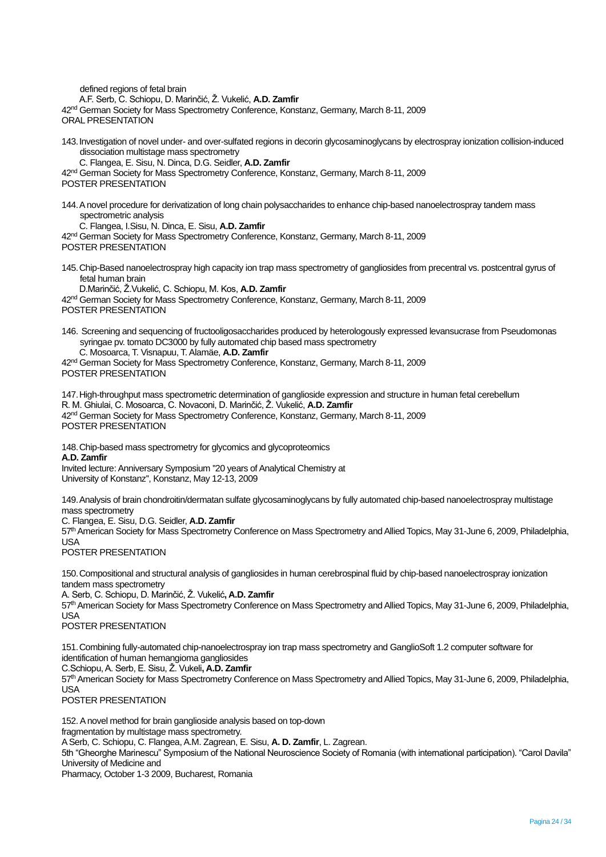defined regions of fetal brain A.F. Serb, C. Schiopu, D. Marinčić, Ž. Vukelić, **A.D. Zamfir** 42nd German Society for Mass Spectrometry Conference, Konstanz, Germany, March 8-11, 2009 ORAL PRESENTATION 143.Investigation of novel under- and over-sulfated regions in decorin glycosaminoglycans by electrospray ionization collision-induced dissociation multistage mass spectrometry C. Flangea, E. Sisu, N. Dinca, D.G. Seidler, **A.D. Zamfir** 42<sup>nd</sup> German Society for Mass Spectrometry Conference, Konstanz, Germany, March 8-11, 2009 POSTER PRESENTATION 144.A novel procedure for derivatization of long chain polysaccharides to enhance chip-based nanoelectrospray tandem mass spectrometric analysis C. Flangea, I.Sisu, N. Dinca, E. Sisu, **A.D. Zamfir** 42<sup>nd</sup> German Society for Mass Spectrometry Conference, Konstanz, Germany, March 8-11, 2009 POSTER PRESENTATION 145.Chip-Based nanoelectrospray high capacity ion trap mass spectrometry of gangliosides from precentral vs. postcentral gyrus of fetal human brain D.Marinčić, Ž.Vukelić, C. Schiopu, M. Kos, **A.D. Zamfir** 42nd German Society for Mass Spectrometry Conference, Konstanz, Germany, March 8-11, 2009 POSTER PRESENTATION 146. Screening and sequencing of fructooligosaccharides produced by heterologously expressed levansucrase from Pseudomonas syringae pv. tomato DC3000 by fully automated chip based mass spectrometry C. Mosoarca, T. Visnapuu, T. Alamäe, **A.D. Zamfir** 42nd German Society for Mass Spectrometry Conference, Konstanz, Germany, March 8-11, 2009 POSTER PRESENTATION 147.High-throughput mass spectrometric determination of ganglioside expression and structure in human fetal cerebellum R. M. Ghiulai, C. Mosoarca, C. Novaconi, D. Marinčić, Ž. Vukelić, **A.D. Zamfir** 42<sup>nd</sup> German Society for Mass Spectrometry Conference, Konstanz, Germany, March 8-11, 2009 POSTER PRESENTATION 148.Chip-based mass spectrometry for glycomics and glycoproteomics **A.D. Zamfir** Invited lecture: Anniversary Symposium ''20 years of Analytical Chemistry at University of Konstanz'', Konstanz, May 12-13, 2009 149.Analysis of brain chondroitin/dermatan sulfate glycosaminoglycans by fully automated chip-based nanoelectrospray multistage mass spectrometry C. Flangea, E. Sisu, D.G. Seidler, **A.D. Zamfir** 57th American Society for Mass Spectrometry Conference on Mass Spectrometry and Allied Topics, May 31-June 6, 2009, Philadelphia, USA POSTER PRESENTATION 150.Compositional and structural analysis of gangliosides in human cerebrospinal fluid by chip-based nanoelectrospray ionization tandem mass spectrometry A. Serb, C. Schiopu, D. Marinčić, Ž. Vukelić**, A.D. Zamfir** 57<sup>th</sup> American Society for Mass Spectrometry Conference on Mass Spectrometry and Allied Topics, May 31-June 6, 2009, Philadelphia, USA POSTER PRESENTATION 151.Combining fully-automated chip-nanoelectrospray ion trap mass spectrometry and GanglioSoft 1.2 computer software for identification of human hemangioma gangliosides C.Schiopu, A. Serb, E. Sisu, Ž. Vukeli**, A.D. Zamfir** 57th American Society for Mass Spectrometry Conference on Mass Spectrometry and Allied Topics, May 31-June 6, 2009, Philadelphia, USA POSTER PRESENTATION

152.A novel method for brain ganglioside analysis based on top-down

fragmentation by multistage mass spectrometry.

A Serb, C. Schiopu, C. Flangea, A.M. Zagrean, E. Sisu, **A. D. Zamfir**, L. Zagrean.

5th "Gheorghe Marinescu" Symposium of the National Neuroscience Society of Romania (with international participation). "Carol Davila" University of Medicine and

Pharmacy, October 1-3 2009, Bucharest, Romania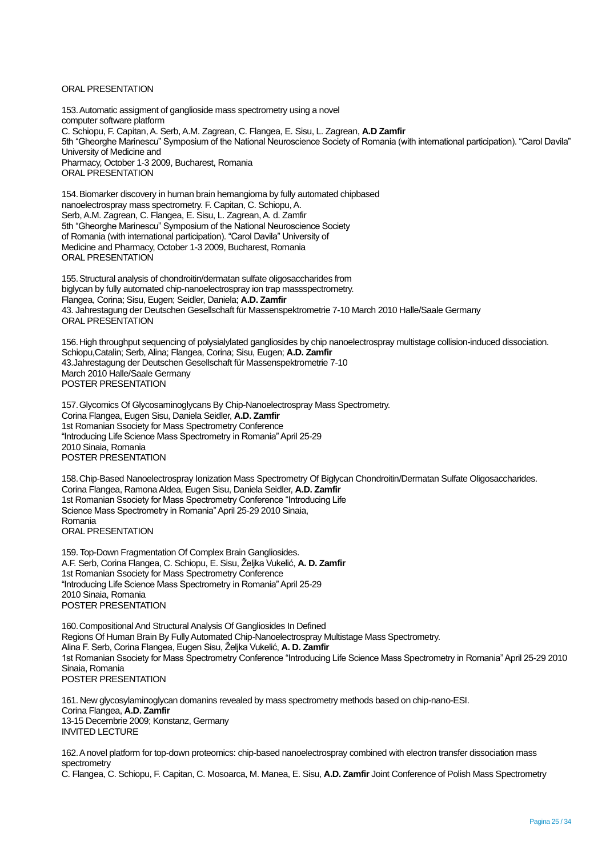### ORAL PRESENTATION

153.Automatic assigment of ganglioside mass spectrometry using a novel computer software platform C. Schiopu, F. Capitan, A. Serb, A.M. Zagrean, C. Flangea, E. Sisu, L. Zagrean, **A.D Zamfir** 5th "Gheorghe Marinescu" Symposium of the National Neuroscience Society of Romania (with international participation). "Carol Davila" University of Medicine and Pharmacy, October 1-3 2009, Bucharest, Romania ORAL PRESENTATION

154.Biomarker discovery in human brain hemangioma by fully automated chipbased nanoelectrospray mass spectrometry. F. Capitan, C. Schiopu, A. Serb, A.M. Zagrean, C. Flangea, E. Sisu, L. Zagrean, A. d. Zamfir 5th "Gheorghe Marinescu" Symposium of the National Neuroscience Society of Romania (with international participation). "Carol Davila" University of Medicine and Pharmacy, October 1-3 2009, Bucharest, Romania ORAL PRESENTATION

155.Structural analysis of chondroitin/dermatan sulfate oligosaccharides from biglycan by fully automated chip-nanoelectrospray ion trap massspectrometry. Flangea, Corina; Sisu, Eugen; Seidler, Daniela; **A.D. Zamfir** 43. Jahrestagung der Deutschen Gesellschaft für Massenspektrometrie 7-10 March 2010 Halle/Saale Germany ORAL PRESENTATION

156.High throughput sequencing of polysialylated gangliosides by chip nanoelectrospray multistage collision-induced dissociation. Schiopu,Catalin; Serb, Alina; Flangea, Corina; Sisu, Eugen; **A.D. Zamfir** 43.Jahrestagung der Deutschen Gesellschaft für Massenspektrometrie 7-10 March 2010 Halle/Saale Germany POSTER PRESENTATION

157.Glycomics Of Glycosaminoglycans By Chip-Nanoelectrospray Mass Spectrometry. Corina Flangea, Eugen Sisu, Daniela Seidler, **A.D. Zamfir** 1st Romanian Ssociety for Mass Spectrometry Conference "Introducing Life Science Mass Spectrometry in Romania" April 25-29 2010 Sinaia, Romania POSTER PRESENTATION

158.Chip-Based Nanoelectrospray Ionization Mass Spectrometry Of Biglycan Chondroitin/Dermatan Sulfate Oligosaccharides. Corina Flangea, Ramona Aldea, Eugen Sisu, Daniela Seidler, **A.D. Zamfir** 1st Romanian Ssociety for Mass Spectrometry Conference "Introducing Life Science Mass Spectrometry in Romania" April 25-29 2010 Sinaia, Romania ORAL PRESENTATION

159. Top-Down Fragmentation Of Complex Brain Gangliosides. A.F. Serb, Corina Flangea, C. Schiopu, E. Sisu, Željka Vukelić, **A. D. Zamfir** 1st Romanian Ssociety for Mass Spectrometry Conference "Introducing Life Science Mass Spectrometry in Romania" April 25-29 2010 Sinaia, Romania POSTER PRESENTATION

160.Compositional And Structural Analysis Of Gangliosides In Defined Regions Of Human Brain By Fully Automated Chip-Nanoelectrospray Multistage Mass Spectrometry. Alina F. Serb, Corina Flangea, Eugen Sisu, Željka Vukelić, **A. D. Zamfir** 1st Romanian Ssociety for Mass Spectrometry Conference "Introducing Life Science Mass Spectrometry in Romania" April 25-29 2010 Sinaia, Romania POSTER PRESENTATION

161. New glycosylaminoglycan domanins revealed by mass spectrometry methods based on chip-nano-ESI. Corina Flangea, **A.D. Zamfir** 13-15 Decembrie 2009; Konstanz, Germany INVITED LECTURE

162.A novel platform for top-down proteomics: chip-based nanoelectrospray combined with electron transfer dissociation mass spectrometry

C. Flangea, C. Schiopu, F. Capitan, C. Mosoarca, M. Manea, E. Sisu, **A.D. Zamfir** Joint Conference of Polish Mass Spectrometry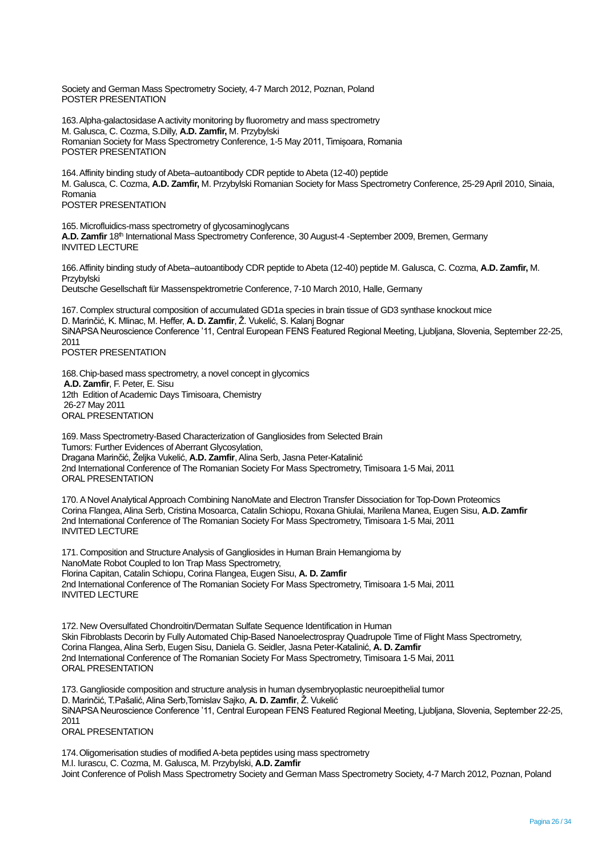Society and German Mass Spectrometry Society, 4-7 March 2012, Poznan, Poland POSTER PRESENTATION

163.Alpha-galactosidase Aactivity monitoring by fluorometry and mass spectrometry M. Galusca, C. Cozma, S.Dilly, **A.D. Zamfir,** M. Przybylski Romanian Society for Mass Spectrometry Conference, 1-5 May 2011, Timișoara, Romania POSTER PRESENTATION

164.Affinity binding study of Abeta–autoantibody CDR peptide to Abeta (12-40) peptide M. Galusca, C. Cozma, **A.D. Zamfir,** M. Przybylski Romanian Society for Mass Spectrometry Conference, 25-29 April 2010, Sinaia, Romania POSTER PRESENTATION

165. Microfluidics-mass spectrometry of glycosaminoglycans **A.D. Zamfir** 18<sup>th</sup> International Mass Spectrometry Conference, 30 August-4 -September 2009, Bremen, Germany INVITED LECTURE

166.Affinity binding study of Abeta–autoantibody CDR peptide to Abeta (12-40) peptide M. Galusca, C. Cozma, **A.D. Zamfir,** M. Przybylski

Deutsche Gesellschaft für Massenspektrometrie Conference, 7-10 March 2010, Halle, Germany

167. Complex structural composition of accumulated GD1a species in brain tissue of GD3 synthase knockout mice D. Marinčić, K. Mlinac, M. Heffer, **A. D. Zamfir**, Ž. Vukelić, S. Kalanj Bognar SiNAPSA Neuroscience Conference '11, Central European FENS Featured Regional Meeting, Ljubljana, Slovenia, September 22-25, 2011 POSTER PRESENTATION

168.Chip-based mass spectrometry, a novel concept in glycomics **A.D. Zamfir**, F. Peter, E. Sisu 12th Edition of Academic Days Timisoara, Chemistry 26-27 May 2011 ORAL PRESENTATION

169. Mass Spectrometry-Based Characterization of Gangliosides from Selected Brain Tumors: Further Evidences of Aberrant Glycosylation, Dragana Marinčić, Željka Vukelić, **A.D. Zamfir**, Alina Serb, Jasna Peter-Katalinić 2nd International Conference of The Romanian Society For Mass Spectrometry, Timisoara 1-5 Mai, 2011 ORAL PRESENTATION

170.A Novel Analytical Approach Combining NanoMate and Electron Transfer Dissociation for Top-Down Proteomics Corina Flangea, Alina Serb, Cristina Mosoarca, Catalin Schiopu, Roxana Ghiulai, Marilena Manea, Eugen Sisu, **A.D. Zamfir** 2nd International Conference of The Romanian Society For Mass Spectrometry, Timisoara 1-5 Mai, 2011 INVITED LECTURE

171. Composition and Structure Analysis of Gangliosides in Human Brain Hemangioma by NanoMate Robot Coupled to Ion Trap Mass Spectrometry, Florina Capitan, Catalin Schiopu, Corina Flangea, Eugen Sisu, **A. D. Zamfir** 2nd International Conference of The Romanian Society For Mass Spectrometry, Timisoara 1-5 Mai, 2011 INVITED LECTURE

172. New Oversulfated Chondroitin/Dermatan Sulfate Sequence Identification in Human Skin Fibroblasts Decorin by Fully Automated Chip-Based Nanoelectrospray Quadrupole Time of Flight Mass Spectrometry, Corina Flangea, Alina Serb, Eugen Sisu, Daniela G. Seidler, Jasna Peter-Katalinić, **A. D. Zamfir** 2nd International Conference of The Romanian Society For Mass Spectrometry, Timisoara 1-5 Mai, 2011 ORAL PRESENTATION

173. Ganglioside composition and structure analysis in human dysembryoplastic neuroepithelial tumor D. Marinčić, T.Pašalić, Alina Serb,Tomislav Sajko, **A. D. Zamfir**, Ž. Vukelić SiNAPSA Neuroscience Conference '11, Central European FENS Featured Regional Meeting, Liubliana, Slovenia, September 22-25, 2011 ORAL PRESENTATION

174.Oligomerisation studies of modified A-beta peptides using mass spectrometry M.I. Iurascu, C. Cozma, M. Galusca, M. Przybylski, **A.D. Zamfir** Joint Conference of Polish Mass Spectrometry Society and German Mass Spectrometry Society, 4-7 March 2012, Poznan, Poland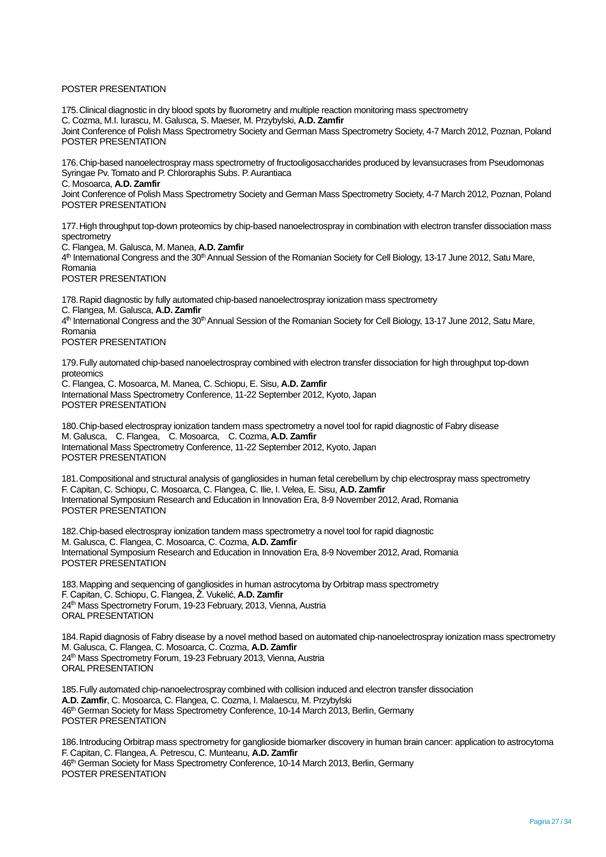## POSTER PRESENTATION

175.Clinical diagnostic in dry blood spots by fluorometry and multiple reaction monitoring mass spectrometry C. Cozma, M.I. Iurascu, M. Galusca, S. Maeser, M. Przybylski, **A.D. Zamfir** Joint Conference of Polish Mass Spectrometry Society and German Mass Spectrometry Society, 4-7 March 2012, Poznan, Poland POSTER PRESENTATION

176.Chip-based nanoelectrospray mass spectrometry of fructooligosaccharides produced by levansucrases from Pseudomonas Syringae Pv. Tomato and P. Chlororaphis Subs. P. Aurantiaca

C. Mosoarca, **A.D. Zamfir**

Joint Conference of Polish Mass Spectrometry Society and German Mass Spectrometry Society, 4-7 March 2012, Poznan, Poland POSTER PRESENTATION

177.High throughput top-down proteomics by chip-based nanoelectrospray in combination with electron transfer dissociation mass spectrometry

C. Flangea, M. Galusca, M. Manea, **A.D. Zamfir** 4<sup>th</sup> International Congress and the 30<sup>th</sup> Annual Session of the Romanian Society for Cell Biology, 13-17 June 2012, Satu Mare, Romania POSTER PRESENTATION

178.Rapid diagnostic by fully automated chip-based nanoelectrospray ionization mass spectrometry C. Flangea, M. Galusca, **A.D. Zamfir** 4<sup>th</sup> International Congress and the 30<sup>th</sup> Annual Session of the Romanian Society for Cell Biology, 13-17 June 2012, Satu Mare, Romania POSTER PRESENTATION

179.Fully automated chip-based nanoelectrospray combined with electron transfer dissociation for high throughput top-down proteomics

C. Flangea, C. Mosoarca, M. Manea, C. Schiopu, E. Sisu, **A.D. Zamfir** International Mass Spectrometry Conference, 11-22 September 2012, Kyoto, Japan POSTER PRESENTATION

180.Chip-based electrospray ionization tandem mass spectrometry a novel tool for rapid diagnostic of Fabry disease M. Galusca, C. Flangea, C. Mosoarca, C. Cozma, **A.D. Zamfir** International Mass Spectrometry Conference, 11-22 September 2012, Kyoto, Japan POSTER PRESENTATION

181.Compositional and structural analysis of gangliosides in human fetal cerebellum by chip electrospray mass spectrometry F. Capitan, C. Schiopu, C. Mosoarca, C. Flangea, C. Ilie, I. Velea, E. Sisu, **A.D. Zamfir** International Symposium Research and Education in Innovation Era, 8-9 November 2012, Arad, Romania POSTER PRESENTATION

182.Chip-based electrospray ionization tandem mass spectrometry a novel tool for rapid diagnostic M. Galusca, C. Flangea, C. Mosoarca, C. Cozma, **A.D. Zamfir** International Symposium Research and Education in Innovation Era, 8-9 November 2012, Arad, Romania POSTER PRESENTATION

183.Mapping and sequencing of gangliosides in human astrocytoma by Orbitrap mass spectrometry F. Capitan, C. Schiopu, C. Flangea, Ž. Vukelić, **A.D. Zamfir** 24<sup>th</sup> Mass Spectrometry Forum, 19-23 February, 2013, Vienna, Austria ORAL PRESENTATION

184.Rapid diagnosis of Fabry disease by a novel method based on automated chip-nanoelectrospray ionization mass spectrometry M. Galusca, C. Flangea, C. Mosoarca, C. Cozma, **A.D. Zamfir** 24<sup>th</sup> Mass Spectrometry Forum, 19-23 February 2013, Vienna, Austria ORAL PRESENTATION

185.Fully automated chip-nanoelectrospray combined with collision induced and electron transfer dissociation **A.D. Zamfir**, C. Mosoarca, C. Flangea, C. Cozma, I. Malaescu, M. Przybylski 46th German Society for Mass Spectrometry Conference, 10-14 March 2013, Berlin, Germany POSTER PRESENTATION

186.Introducing Orbitrap mass spectrometry for ganglioside biomarker discovery in human brain cancer: application to astrocytoma F. Capitan, C. Flangea, A. Petrescu, C. Munteanu, **A.D. Zamfir** 46<sup>th</sup> German Society for Mass Spectrometry Conference, 10-14 March 2013, Berlin, Germany POSTER PRESENTATION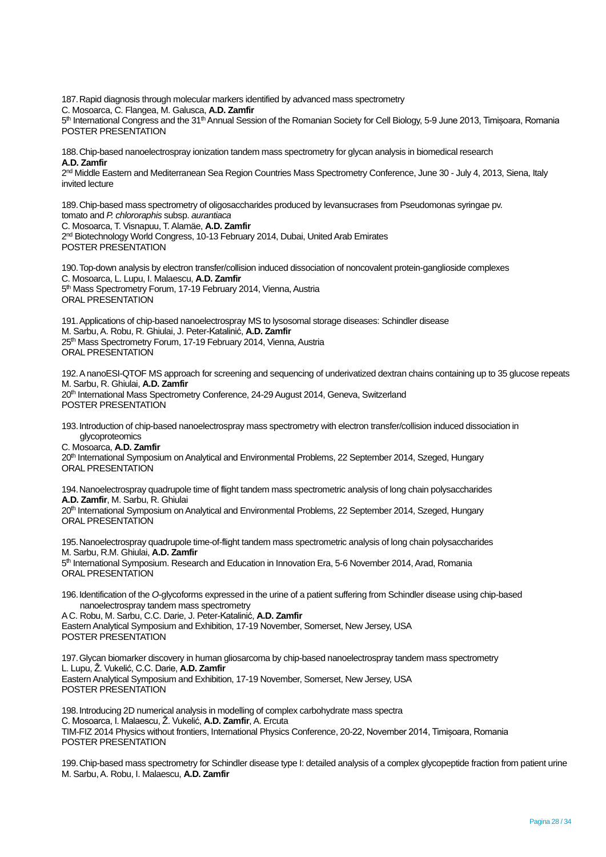187.Rapid diagnosis through molecular markers identified by advanced mass spectrometry

C. Mosoarca, C. Flangea, M. Galusca, **A.D. Zamfir**

5<sup>th</sup> International Congress and the 31<sup>th</sup> Annual Session of the Romanian Society for Cell Biology, 5-9 June 2013, Timișoara, Romania POSTER PRESENTATION

188.Chip-based nanoelectrospray ionization tandem mass spectrometry for glycan analysis in biomedical research **A.D. Zamfir**

2<sup>nd</sup> Middle Eastern and Mediterranean Sea Region Countries Mass Spectrometry Conference, June 30 - July 4, 2013, Siena, Italy invited lecture

189.Chip-based mass spectrometry of oligosaccharides produced by levansucrases from Pseudomonas syringae pv. tomato and *P. chlororaphis* subsp. *aurantiaca* C. Mosoarca, T. Visnapuu, T. Alamäe, **A.D. Zamfir** 2<sup>nd</sup> Biotechnology World Congress, 10-13 February 2014, Dubai, United Arab Emirates POSTER PRESENTATION

190.Top-down analysis by electron transfer/collision induced dissociation of noncovalent protein-ganglioside complexes C. Mosoarca, L. Lupu, I. Malaescu, **A.D. Zamfir** 5<sup>th</sup> Mass Spectrometry Forum, 17-19 February 2014, Vienna, Austria ORAL PRESENTATION

191.Applications of chip-based nanoelectrospray MS to lysosomal storage diseases: Schindler disease M. Sarbu, A. Robu, R. Ghiulai, J. Peter-Katalinić, **A.D. Zamfir** 25<sup>th</sup> Mass Spectrometry Forum, 17-19 February 2014, Vienna, Austria ORAL PRESENTATION

192.A nanoESI-QTOF MS approach for screening and sequencing of underivatized dextran chains containing up to 35 glucose repeats M. Sarbu, R. Ghiulai, **A.D. Zamfir** 20<sup>th</sup> International Mass Spectrometry Conference, 24-29 August 2014, Geneva, Switzerland POSTER PRESENTATION

193.Introduction of chip-based nanoelectrospray mass spectrometry with electron transfer/collision induced dissociation in glycoproteomics

C. Mosoarca, **A.D. Zamfir**

20th International Symposium on Analytical and Environmental Problems, 22 September 2014, Szeged, Hungary ORAL PRESENTATION

194.Nanoelectrospray quadrupole time of flight tandem mass spectrometric analysis of long chain polysaccharides **A.D. Zamfir**, M. Sarbu, R. Ghiulai

20<sup>th</sup> International Symposium on Analytical and Environmental Problems, 22 September 2014, Szeged, Hungary ORAL PRESENTATION

195.Nanoelectrospray quadrupole time-of-flight tandem mass spectrometric analysis of long chain polysaccharides M. Sarbu, R.M. Ghiulai, **A.D. Zamfir** 5<sup>th</sup> International Symposium. Research and Education in Innovation Era, 5-6 November 2014, Arad, Romania

ORAL PRESENTATION

196.Identification of the *O*-glycoforms expressed in the urine of a patient suffering from Schindler disease using chip-based nanoelectrospray tandem mass spectrometry

A C. Robu, M. Sarbu, C.C. Darie, J. Peter-Katalinić, **A.D. Zamfir** Eastern Analytical Symposium and Exhibition, 17-19 November, Somerset, New Jersey, USA POSTER PRESENTATION

197.Glycan biomarker discovery in human gliosarcoma by chip-based nanoelectrospray tandem mass spectrometry L. Lupu, Ž. Vukelić, C.C. Darie, **A.D. Zamfir** Eastern Analytical Symposium and Exhibition, 17-19 November, Somerset, New Jersey, USA POSTER PRESENTATION

198.Introducing 2D numerical analysis in modelling of complex carbohydrate mass spectra C. Mosoarca, I. Malaescu, Ž. Vukelić, **A.D. Zamfir**, A. Ercuta TIM-FIZ 2014 Physics without frontiers, International Physics Conference, 20-22, November 2014, Timișoara, Romania POSTER PRESENTATION

199.Chip-based mass spectrometry for Schindler disease type I: detailed analysis of a complex glycopeptide fraction from patient urine M. Sarbu, A. Robu, I. Malaescu, **A.D. Zamfir**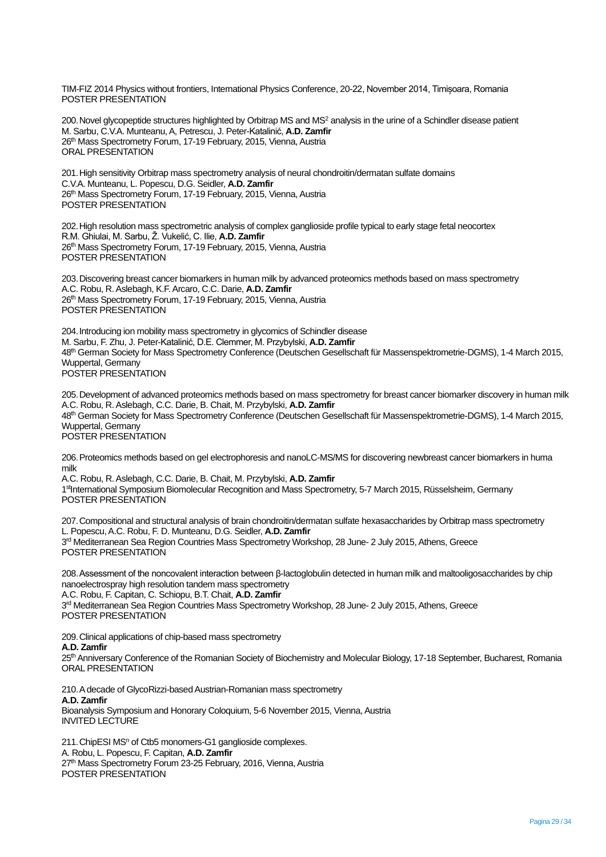TIM-FIZ 2014 Physics without frontiers, International Physics Conference, 20-22, November 2014, Timișoara, Romania POSTER PRESENTATION

200.Novel glycopeptide structures highlighted by Orbitrap MS and MS<sup>2</sup> analysis in the urine of a Schindler disease patient M. Sarbu, C.V.A. Munteanu, A, Petrescu, J. Peter-Katalinić, **A.D. Zamfir** 26<sup>th</sup> Mass Spectrometry Forum, 17-19 February, 2015, Vienna, Austria ORAL PRESENTATION

201.High sensitivity Orbitrap mass spectrometry analysis of neural chondroitin/dermatan sulfate domains C.V.A. Munteanu, L. Popescu, D.G. Seidler, **A.D. Zamfir** 26<sup>th</sup> Mass Spectrometry Forum, 17-19 February, 2015, Vienna, Austria POSTER PRESENTATION

202.High resolution mass spectrometric analysis of complex ganglioside profile typical to early stage fetal neocortex R.M. Ghiulai, M. Sarbu, Ž. Vukelić, C. Ilie, **A.D. Zamfir** 26<sup>th</sup> Mass Spectrometry Forum, 17-19 February, 2015, Vienna, Austria POSTER PRESENTATION

203.Discovering breast cancer biomarkers in human milk by advanced proteomics methods based on mass spectrometry A.C. Robu, R. Aslebagh, K.F. Arcaro, C.C. Darie, **A.D. Zamfir** 26<sup>th</sup> Mass Spectrometry Forum, 17-19 February, 2015, Vienna, Austria POSTER PRESENTATION

204.Introducing ion mobility mass spectrometry in glycomics of Schindler disease M. Sarbu, F. Zhu, J. Peter-Katalinić, D.E. Clemmer, M. Przybylski, **A.D. Zamfir** 48th German Society for Mass Spectrometry Conference (Deutschen Gesellschaft für Massenspektrometrie-DGMS), 1-4 March 2015, Wuppertal, Germany POSTER PRESENTATION

205.Development of advanced proteomics methods based on mass spectrometry for breast cancer biomarker discovery in human milk A.C. Robu, R. Aslebagh, C.C. Darie, B. Chait, M. Przybylski, **A.D. Zamfir** 48th German Society for Mass Spectrometry Conference (Deutschen Gesellschaft für Massenspektrometrie-DGMS), 1-4 March 2015, Wuppertal, Germany POSTER PRESENTATION

206.Proteomics methods based on gel electrophoresis and nanoLC-MS/MS for discovering newbreast cancer biomarkers in huma milk

A.C. Robu, R. Aslebagh, C.C. Darie, B. Chait, M. Przybylski, **A.D. Zamfir** 1stInternational Symposium Biomolecular Recognition and Mass Spectrometry, 5-7 March 2015, Rüsselsheim, Germany POSTER PRESENTATION

207.Compositional and structural analysis of brain chondroitin/dermatan sulfate hexasaccharides by Orbitrap mass spectrometry L. Popescu,A.C. Robu, F. D. Munteanu, D.G. Seidler, **A.D. Zamfir** 3<sup>rd</sup> Mediterranean Sea Region Countries Mass Spectrometry Workshop, 28 June- 2 July 2015, Athens, Greece POSTER PRESENTATION

208.Assessment of the noncovalent interaction between β-lactoglobulin detected in human milk and maltooligosaccharides by chip nanoelectrospray high resolution tandem mass spectrometry A.C. Robu, F. Capitan, C. Schiopu, B.T. Chait, **A.D. Zamfir** 3<sup>rd</sup> Mediterranean Sea Region Countries Mass Spectrometry Workshop, 28 June- 2 July 2015, Athens, Greece POSTER PRESENTATION

209.Clinical applications of chip-based mass spectrometry **A.D. Zamfir** 25<sup>th</sup> Anniversary Conference of the Romanian Society of Biochemistry and Molecular Biology, 17-18 September, Bucharest, Romania ORAL PRESENTATION

210.A decade of GlycoRizzi-based Austrian-Romanian mass spectrometry **A.D. Zamfir** Bioanalysis Symposium and Honorary Coloquium, 5-6 November 2015, Vienna, Austria INVITED LECTURE

211. ChipESI MS<sup>n</sup> of Ctb5 monomers-G1 ganglioside complexes. A. Robu, L. Popescu, F. Capitan, **A.D. Zamfir** 27<sup>th</sup> Mass Spectrometry Forum 23-25 February, 2016, Vienna, Austria POSTER PRESENTATION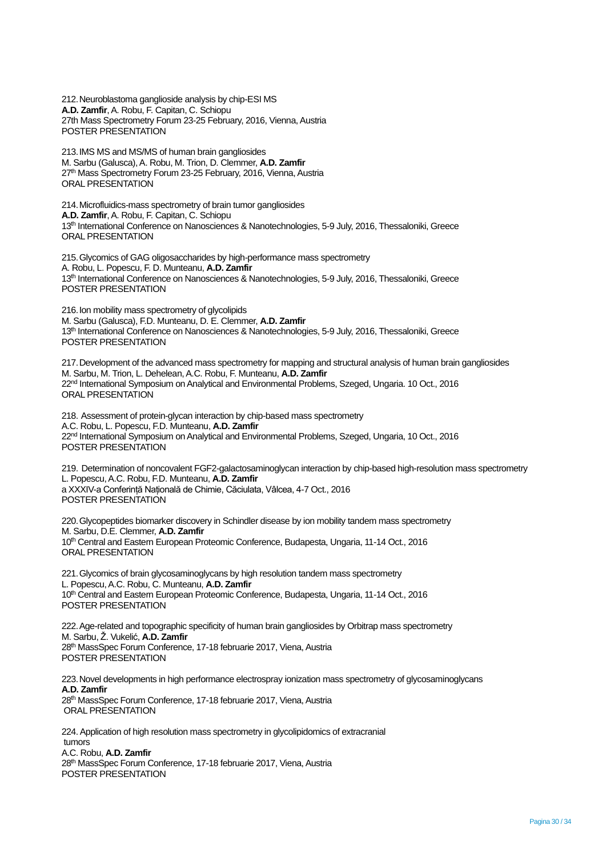212.Neuroblastoma ganglioside analysis by chip-ESI MS **A.D. Zamfir**, A. Robu, F. Capitan, C. Schiopu 27th Mass Spectrometry Forum 23-25 February, 2016, Vienna, Austria POSTER PRESENTATION

213.IMS MS and MS/MS of human brain gangliosides M. Sarbu (Galusca), A. Robu, M. Trion, D. Clemmer, **A.D. Zamfir** 27<sup>th</sup> Mass Spectrometry Forum 23-25 February, 2016, Vienna, Austria ORAL PRESENTATION

214.Microfluidics-mass spectrometry of brain tumor gangliosides **A.D. Zamfir**, A. Robu, F. Capitan, C. Schiopu 13th International Conference on Nanosciences & Nanotechnologies, 5-9 July, 2016, Thessaloniki, Greece ORAL PRESENTATION

215.Glycomics of GAG oligosaccharides by high-performance mass spectrometry A. Robu, L. Popescu, F. D. Munteanu, **A.D. Zamfir** 13th International Conference on Nanosciences & Nanotechnologies, 5-9 July, 2016, Thessaloniki, Greece POSTER PRESENTATION

216.Ion mobility mass spectrometry of glycolipids M. Sarbu (Galusca), F.D. Munteanu, D. E. Clemmer, **A.D. Zamfir** 13th International Conference on Nanosciences & Nanotechnologies, 5-9 July, 2016, Thessaloniki, Greece POSTER PRESENTATION

217.Development of the advanced mass spectrometry for mapping and structural analysis of human brain gangliosides M. Sarbu, M. Trion, L. Dehelean, A.C. Robu, F. Munteanu, **A.D. Zamfir** 22<sup>nd</sup> International Symposium on Analytical and Environmental Problems, Szeged, Ungaria. 10 Oct., 2016 ORAL PRESENTATION

218. Assessment of protein-glycan interaction by chip-based mass spectrometry A.C. Robu, L. Popescu, F.D. Munteanu, **A.D. Zamfir** 22<sup>nd</sup> International Symposium on Analytical and Environmental Problems, Szeged, Ungaria, 10 Oct., 2016 POSTER PRESENTATION

219. Determination of noncovalent FGF2-galactosaminoglycan interaction by chip-based high-resolution mass spectrometry L. Popescu, A.C. Robu, F.D. Munteanu, **A.D. Zamfir** a XXXIV-a Conferință Națională de Chimie, Căciulata, Vâlcea, 4-7 Oct., 2016 POSTER PRESENTATION

220.Glycopeptides biomarker discovery in Schindler disease by ion mobility tandem mass spectrometry M. Sarbu, D.E. Clemmer, **A.D. Zamfir** 10th Central and Eastern European Proteomic Conference, Budapesta, Ungaria, 11-14 Oct., 2016 ORAL PRESENTATION

221.Glycomics of brain glycosaminoglycans by high resolution tandem mass spectrometry L. Popescu, A.C. Robu, C. Munteanu, **A.D. Zamfir** 10<sup>th</sup> Central and Eastern European Proteomic Conference, Budapesta, Ungaria, 11-14 Oct., 2016 POSTER PRESENTATION

222.Age-related and topographic specificity of human brain gangliosides by Orbitrap mass spectrometry M. Sarbu, Ž. Vukelić, **A.D. Zamfir** 28<sup>th</sup> MassSpec Forum Conference, 17-18 februarie 2017, Viena, Austria POSTER PRESENTATION

223.Novel developments in high performance electrospray ionization mass spectrometry of glycosaminoglycans **A.D. Zamfir** 28<sup>th</sup> MassSpec Forum Conference, 17-18 februarie 2017, Viena, Austria ORAL PRESENTATION

224.Application of high resolution mass spectrometry in glycolipidomics of extracranial tumors A.C. Robu, **A.D. Zamfir** 28<sup>th</sup> MassSpec Forum Conference, 17-18 februarie 2017, Viena, Austria POSTER PRESENTATION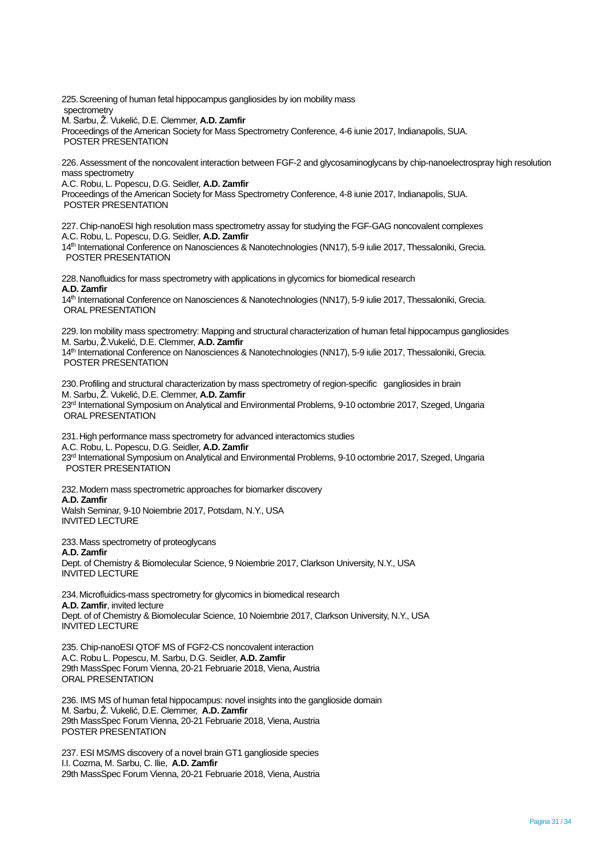225.Screening of human fetal hippocampus gangliosides by ion mobility mass spectrometry M. Sarbu, Ž. Vukelić, D.E. Clemmer, **A.D. Zamfir**

Proceedings of the American Society for Mass Spectrometry Conference, 4-6 iunie 2017, Indianapolis, SUA. POSTER PRESENTATION

226.Assessment of the noncovalent interaction between FGF-2 and glycosaminoglycans by chip-nanoelectrospray high resolution mass spectrometry

A.C. Robu, L. Popescu, D.G. Seidler, **A.D. Zamfir**

Proceedings of the American Society for Mass Spectrometry Conference, 4-8 iunie 2017, Indianapolis, SUA. POSTER PRESENTATION

227. Chip-nanoESI high resolution mass spectrometry assay for studying the FGF-GAG noncovalent complexes A.C. Robu, L. Popescu, D.G. Seidler, **A.D. Zamfir** 14<sup>th</sup> International Conference on Nanosciences & Nanotechnologies (NN17), 5-9 iulie 2017, Thessaloniki, Grecia.

POSTER PRESENTATION

228.Nanofluidics for mass spectrometry with applications in glycomics for biomedical research **A.D. Zamfir**

14th International Conference on Nanosciences & Nanotechnologies (NN17), 5-9 iulie 2017, Thessaloniki, Grecia. ORAL PRESENTATION

229. Ion mobility mass spectrometry: Mapping and structural characterization of human fetal hippocampus gangliosides M. Sarbu, Ž.Vukelić, D.E. Clemmer, **A.D. Zamfir**

14th International Conference on Nanosciences & Nanotechnologies (NN17), 5-9 iulie 2017, Thessaloniki, Grecia. POSTER PRESENTATION

230.Profiling and structural characterization by mass spectrometry of region-specific gangliosides in brain M. Sarbu, Ž. Vukelić, D.E. Clemmer, **A.D. Zamfir** 23rd International Symposium on Analytical and Environmental Problems, 9-10 octombrie 2017, Szeged, Ungaria ORAL PRESENTATION

231.High performance mass spectrometry for advanced interactomics studies A.C. Robu, L. Popescu, D.G. Seidler, **A.D. Zamfir** 23rd International Symposium on Analytical and Environmental Problems, 9-10 octombrie 2017, Szeged, Ungaria POSTER PRESENTATION

232.Modern mass spectrometric approaches for biomarker discovery **A.D. Zamfir** Walsh Seminar, 9-10 Noiembrie 2017, Potsdam, N.Y., USA

INVITED LECTURE

233.Mass spectrometry of proteoglycans

**A.D. Zamfir** 

Dept. of Chemistry & Biomolecular Science, 9 Noiembrie 2017, Clarkson University, N.Y., USA INVITED LECTURE

234.Microfluidics-mass spectrometry for glycomics in biomedical research **A.D. Zamfir**, invited lecture Dept. of of Chemistry & Biomolecular Science, 10 Noiembrie 2017, Clarkson University, N.Y., USA INVITED LECTURE

235. Chip-nanoESI QTOF MS of FGF2-CS noncovalent interaction A.C. Robu L. Popescu, M. Sarbu, D.G. Seidler, **A.D. Zamfir** 29th MassSpec Forum Vienna, 20-21 Februarie 2018, Viena, Austria ORAL PRESENTATION

236. IMS MS of human fetal hippocampus: novel insights into the ganglioside domain M. Sarbu, Ž. Vukelić, D.E. Clemmer, **A.D. Zamfir** 29th MassSpec Forum Vienna, 20-21 Februarie 2018, Viena, Austria POSTER PRESENTATION

237. ESI MS/MS discovery of a novel brain GT1 ganglioside species I.I. Cozma, M. Sarbu, C. Ilie, **A.D. Zamfir** 29th MassSpec Forum Vienna, 20-21 Februarie 2018, Viena, Austria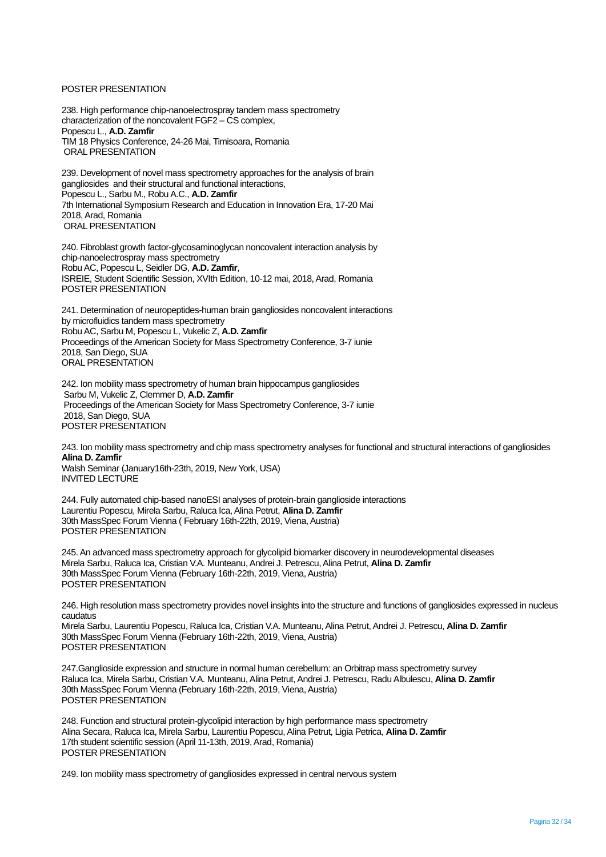#### POSTER PRESENTATION

238. High performance chip-nanoelectrospray tandem mass spectrometry characterization of the noncovalent FGF2 – CS complex, Popescu L., **A.D. Zamfir** TIM 18 Physics Conference, 24-26 Mai, Timisoara, Romania ORAL PRESENTATION

239. Development of novel mass spectrometry approaches for the analysis of brain gangliosides and their structural and functional interactions, Popescu L., Sarbu M., Robu A.C., **A.D. Zamfir** 7th International Symposium Research and Education in Innovation Era, 17-20 Mai 2018, Arad, Romania ORAL PRESENTATION

240. Fibroblast growth factor-glycosaminoglycan noncovalent interaction analysis by chip-nanoelectrospray mass spectrometry Robu AC, Popescu L, Seidler DG, **A.D. Zamfir**, ISREIE, Student Scientific Session, XVIth Edition, 10-12 mai, 2018, Arad, Romania POSTER PRESENTATION

241. Determination of neuropeptides-human brain gangliosides noncovalent interactions by microfluidics tandem mass spectrometry Robu AC, Sarbu M, Popescu L, Vukelic Z, **A.D. Zamfir** Proceedings of the American Society for Mass Spectrometry Conference, 3-7 iunie 2018, San Diego, SUA ORAL PRESENTATION

242. Ion mobility mass spectrometry of human brain hippocampus gangliosides Sarbu M, Vukelic Z, Clemmer D, **A.D. Zamfir** Proceedings of the American Society for Mass Spectrometry Conference, 3-7 iunie 2018, San Diego, SUA POSTER PRESENTATION

243. Ion mobility mass spectrometry and chip mass spectrometry analyses for functional and structural interactions of gangliosides **Alina D. Zamfir** Walsh Seminar (January16th-23th, 2019, New York, USA) INVITED LECTURE

244. Fully automated chip-based nanoESI analyses of protein-brain ganglioside interactions Laurentiu Popescu, Mirela Sarbu, Raluca Ica, Alina Petrut, **Alina D. Zamfir** 30th MassSpec Forum Vienna ( February 16th-22th, 2019, Viena, Austria) POSTER PRESENTATION

245. An advanced mass spectrometry approach for glycolipid biomarker discovery in neurodevelopmental diseases Mirela Sarbu, Raluca Ica, Cristian V.A. Munteanu, Andrei J. Petrescu, Alina Petrut, **Alina D. Zamfir** 30th MassSpec Forum Vienna (February 16th-22th, 2019, Viena, Austria) POSTER PRESENTATION

246. High resolution mass spectrometry provides novel insights into the structure and functions of gangliosides expressed in nucleus caudatus

Mirela Sarbu, Laurentiu Popescu, Raluca Ica, Cristian V.A. Munteanu, Alina Petrut, Andrei J. Petrescu, **Alina D. Zamfir** 30th MassSpec Forum Vienna (February 16th-22th, 2019, Viena, Austria) POSTER PRESENTATION

247.Ganglioside expression and structure in normal human cerebellum: an Orbitrap mass spectrometry survey Raluca Ica, Mirela Sarbu, Cristian V.A. Munteanu, Alina Petrut, Andrei J. Petrescu, Radu Albulescu, **Alina D. Zamfir** 30th MassSpec Forum Vienna (February 16th-22th, 2019, Viena, Austria) POSTER PRESENTATION

248. Function and structural protein-glycolipid interaction by high performance mass spectrometry Alina Secara, Raluca Ica, Mirela Sarbu, Laurentiu Popescu, Alina Petrut, Ligia Petrica, **Alina D. Zamfir** 17th student scientific session (April 11-13th, 2019, Arad, Romania) POSTER PRESENTATION

249. Ion mobility mass spectrometry of gangliosides expressed in central nervous system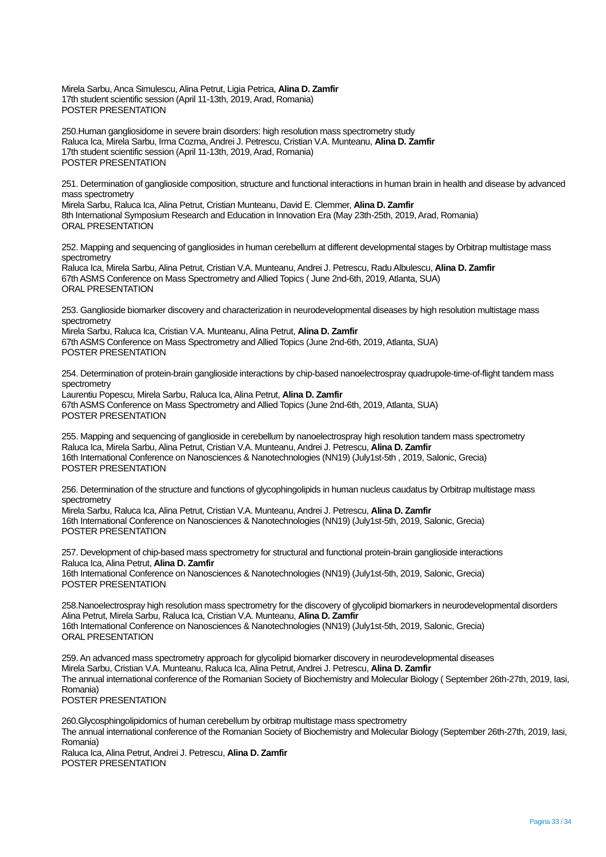Mirela Sarbu, Anca Simulescu, Alina Petrut, Ligia Petrica, **Alina D. Zamfir** 17th student scientific session (April 11-13th, 2019, Arad, Romania) POSTER PRESENTATION

250.Human gangliosidome in severe brain disorders: high resolution mass spectrometry study Raluca Ica, Mirela Sarbu, Irma Cozma, Andrei J. Petrescu, Cristian V.A. Munteanu, **Alina D. Zamfir** 17th student scientific session (April 11-13th, 2019, Arad, Romania) POSTER PRESENTATION

251. Determination of ganglioside composition, structure and functional interactions in human brain in health and disease by advanced mass spectrometry

Mirela Sarbu, Raluca Ica, Alina Petrut, Cristian Munteanu, David E. Clemmer, **Alina D. Zamfir** 8th International Symposium Research and Education in Innovation Era (May 23th-25th, 2019, Arad, Romania) ORAL PRESENTATION

252. Mapping and sequencing of gangliosides in human cerebellum at different developmental stages by Orbitrap multistage mass spectrometry Raluca Ica, Mirela Sarbu, Alina Petrut, Cristian V.A. Munteanu, Andrei J. Petrescu, Radu Albulescu, **Alina D. Zamfir**

67th ASMS Conference on Mass Spectrometry and Allied Topics ( June 2nd-6th, 2019, Atlanta, SUA) ORAL PRESENTATION

253. Ganglioside biomarker discovery and characterization in neurodevelopmental diseases by high resolution multistage mass spectrometry

Mirela Sarbu, Raluca Ica, Cristian V.A. Munteanu, Alina Petrut, **Alina D. Zamfir** 67th ASMS Conference on Mass Spectrometry and Allied Topics (June 2nd-6th, 2019, Atlanta, SUA) POSTER PRESENTATION

254. Determination of protein-brain ganglioside interactions by chip-based nanoelectrospray quadrupole-time-of-flight tandem mass spectrometry

Laurentiu Popescu, Mirela Sarbu, Raluca Ica, Alina Petrut, **Alina D. Zamfir** 67th ASMS Conference on Mass Spectrometry and Allied Topics (June 2nd-6th, 2019, Atlanta, SUA) POSTER PRESENTATION

255. Mapping and sequencing of ganglioside in cerebellum by nanoelectrospray high resolution tandem mass spectrometry Raluca Ica, Mirela Sarbu, Alina Petrut, Cristian V.A. Munteanu, Andrei J. Petrescu, **Alina D. Zamfir** 16th International Conference on Nanosciences & Nanotechnologies (NN19) (July1st-5th , 2019, Salonic, Grecia) POSTER PRESENTATION

256. Determination of the structure and functions of glycophingolipids in human nucleus caudatus by Orbitrap multistage mass spectrometry

Mirela Sarbu, Raluca Ica, Alina Petrut, Cristian V.A. Munteanu, Andrei J. Petrescu, **Alina D. Zamfir** 16th International Conference on Nanosciences & Nanotechnologies (NN19) (July1st-5th, 2019, Salonic, Grecia) POSTER PRESENTATION

257. Development of chip-based mass spectrometry for structural and functional protein-brain ganglioside interactions Raluca Ica, Alina Petrut, **Alina D. Zamfir** 16th International Conference on Nanosciences & Nanotechnologies (NN19) (July1st-5th, 2019, Salonic, Grecia) POSTER PRESENTATION

258.Nanoelectrospray high resolution mass spectrometry for the discovery of glycolipid biomarkers in neurodevelopmental disorders Alina Petrut, Mirela Sarbu, Raluca Ica, Cristian V.A. Munteanu, **Alina D. Zamfir** 16th International Conference on Nanosciences & Nanotechnologies (NN19) (July1st-5th, 2019, Salonic, Grecia) ORAL PRESENTATION

259. An advanced mass spectrometry approach for glycolipid biomarker discovery in neurodevelopmental diseases Mirela Sarbu, Cristian V.A. Munteanu, Raluca Ica, Alina Petrut, Andrei J. Petrescu, **Alina D. Zamfir** The annual international conference of the Romanian Society of Biochemistry and Molecular Biology ( September 26th-27th, 2019, Iasi, Romania) POSTER PRESENTATION

260.Glycosphingolipidomics of human cerebellum by orbitrap multistage mass spectrometry The annual international conference of the Romanian Society of Biochemistry and Molecular Biology (September 26th-27th, 2019, Iasi, Romania) Raluca Ica, Alina Petrut, Andrei J. Petrescu, **Alina D. Zamfir** POSTER PRESENTATION